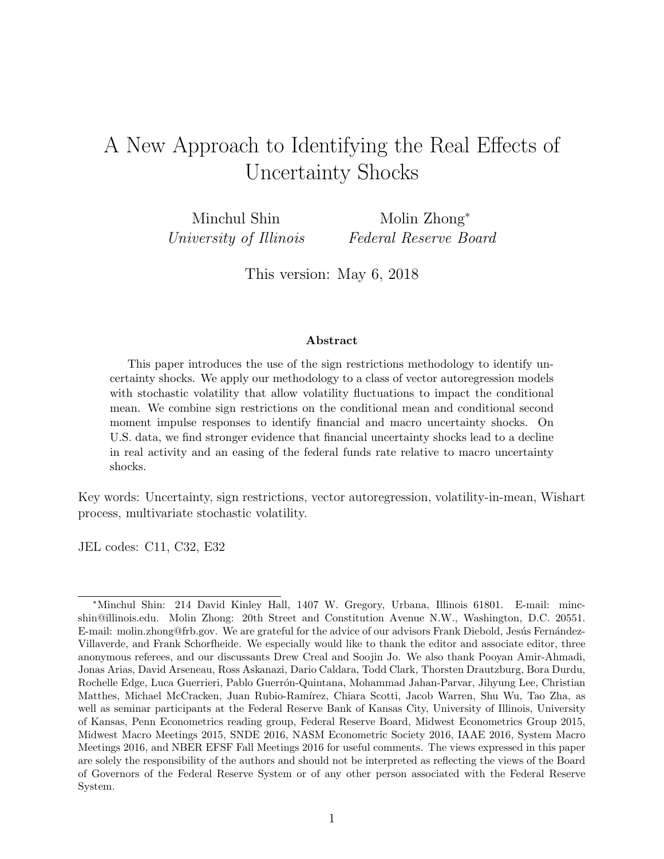## <span id="page-0-0"></span>A New Approach to Identifying the Real Effects of Uncertainty Shocks

Minchul Shin University of Illinois Molin Zhong<sup>∗</sup> Federal Reserve Board

This version: May 6, 2018

#### Abstract

This paper introduces the use of the sign restrictions methodology to identify uncertainty shocks. We apply our methodology to a class of vector autoregression models with stochastic volatility that allow volatility fluctuations to impact the conditional mean. We combine sign restrictions on the conditional mean and conditional second moment impulse responses to identify financial and macro uncertainty shocks. On U.S. data, we find stronger evidence that financial uncertainty shocks lead to a decline in real activity and an easing of the federal funds rate relative to macro uncertainty shocks.

Key words: Uncertainty, sign restrictions, vector autoregression, volatility-in-mean, Wishart process, multivariate stochastic volatility.

JEL codes: C11, C32, E32

<sup>∗</sup>Minchul Shin: 214 David Kinley Hall, 1407 W. Gregory, Urbana, Illinois 61801. E-mail: mincshin@illinois.edu. Molin Zhong: 20th Street and Constitution Avenue N.W., Washington, D.C. 20551. E-mail: molin.zhong@frb.gov. We are grateful for the advice of our advisors Frank Diebold, Jesús Fernández-Villaverde, and Frank Schorfheide. We especially would like to thank the editor and associate editor, three anonymous referees, and our discussants Drew Creal and Soojin Jo. We also thank Pooyan Amir-Ahmadi, Jonas Arias, David Arseneau, Ross Askanazi, Dario Caldara, Todd Clark, Thorsten Drautzburg, Bora Durdu, Rochelle Edge, Luca Guerrieri, Pablo Guerrón-Quintana, Mohammad Jahan-Parvar, Jihyung Lee, Christian Matthes, Michael McCracken, Juan Rubio-Ramírez, Chiara Scotti, Jacob Warren, Shu Wu, Tao Zha, as well as seminar participants at the Federal Reserve Bank of Kansas City, University of Illinois, University of Kansas, Penn Econometrics reading group, Federal Reserve Board, Midwest Econometrics Group 2015, Midwest Macro Meetings 2015, SNDE 2016, NASM Econometric Society 2016, IAAE 2016, System Macro Meetings 2016, and NBER EFSF Fall Meetings 2016 for useful comments. The views expressed in this paper are solely the responsibility of the authors and should not be interpreted as reflecting the views of the Board of Governors of the Federal Reserve System or of any other person associated with the Federal Reserve System.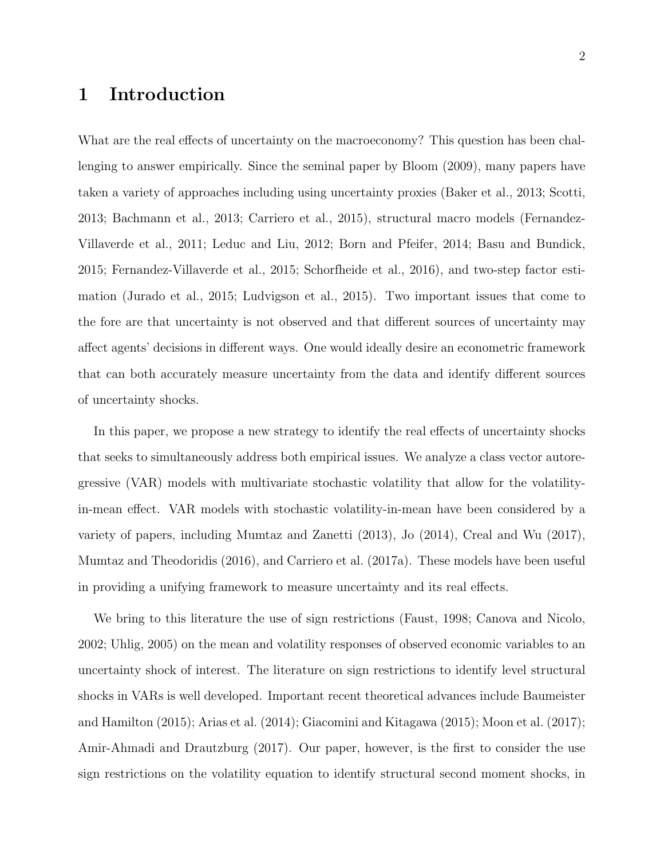## 1 Introduction

What are the real effects of uncertainty on the macroeconomy? This question has been challenging to answer empirically. Since the seminal paper by [Bloom](#page-32-0) [\(2009\)](#page-32-0), many papers have taken a variety of approaches including using uncertainty proxies [\(Baker et al.,](#page-32-1) [2013;](#page-32-1) [Scotti,](#page-34-0) [2013;](#page-34-0) [Bachmann et al.,](#page-32-2) [2013;](#page-32-2) [Carriero et al.,](#page-33-0) [2015\)](#page-33-0), structural macro models [\(Fernandez-](#page-33-1)[Villaverde et al.,](#page-33-1) [2011;](#page-33-1) [Leduc and Liu,](#page-34-1) [2012;](#page-34-1) [Born and Pfeifer,](#page-32-3) [2014;](#page-32-3) [Basu and Bundick,](#page-32-4) [2015;](#page-32-4) [Fernandez-Villaverde et al.,](#page-33-2) [2015;](#page-33-2) [Schorfheide et al.,](#page-34-2) [2016\)](#page-34-2), and two-step factor estimation [\(Jurado et al.,](#page-33-3) [2015;](#page-33-3) [Ludvigson et al.,](#page-34-3) [2015\)](#page-34-3). Two important issues that come to the fore are that uncertainty is not observed and that different sources of uncertainty may affect agents' decisions in different ways. One would ideally desire an econometric framework that can both accurately measure uncertainty from the data and identify different sources of uncertainty shocks.

In this paper, we propose a new strategy to identify the real effects of uncertainty shocks that seeks to simultaneously address both empirical issues. We analyze a class vector autoregressive (VAR) models with multivariate stochastic volatility that allow for the volatilityin-mean effect. VAR models with stochastic volatility-in-mean have been considered by a variety of papers, including [Mumtaz and Zanetti](#page-34-4) [\(2013\)](#page-34-4), [Jo](#page-33-4) [\(2014\)](#page-33-4), [Creal and Wu](#page-33-5) [\(2017\)](#page-33-5), [Mumtaz and Theodoridis](#page-34-5) [\(2016\)](#page-34-5), and [Carriero et al.](#page-33-6) [\(2017a\)](#page-33-6). These models have been useful in providing a unifying framework to measure uncertainty and its real effects.

We bring to this literature the use of sign restrictions [\(Faust,](#page-33-7) [1998;](#page-33-7) [Canova and Nicolo,](#page-33-8) [2002;](#page-33-8) [Uhlig,](#page-34-6) [2005\)](#page-34-6) on the mean and volatility responses of observed economic variables to an uncertainty shock of interest. The literature on sign restrictions to identify level structural shocks in VARs is well developed. Important recent theoretical advances include [Baumeister](#page-32-5) [and Hamilton](#page-32-5) [\(2015\)](#page-32-5); [Arias et al.](#page-32-6) [\(2014\)](#page-32-6); [Giacomini and Kitagawa](#page-33-9) [\(2015\)](#page-33-9); [Moon et al.](#page-34-7) [\(2017\)](#page-34-7); [Amir-Ahmadi and Drautzburg](#page-32-7) [\(2017\)](#page-32-7). Our paper, however, is the first to consider the use sign restrictions on the volatility equation to identify structural second moment shocks, in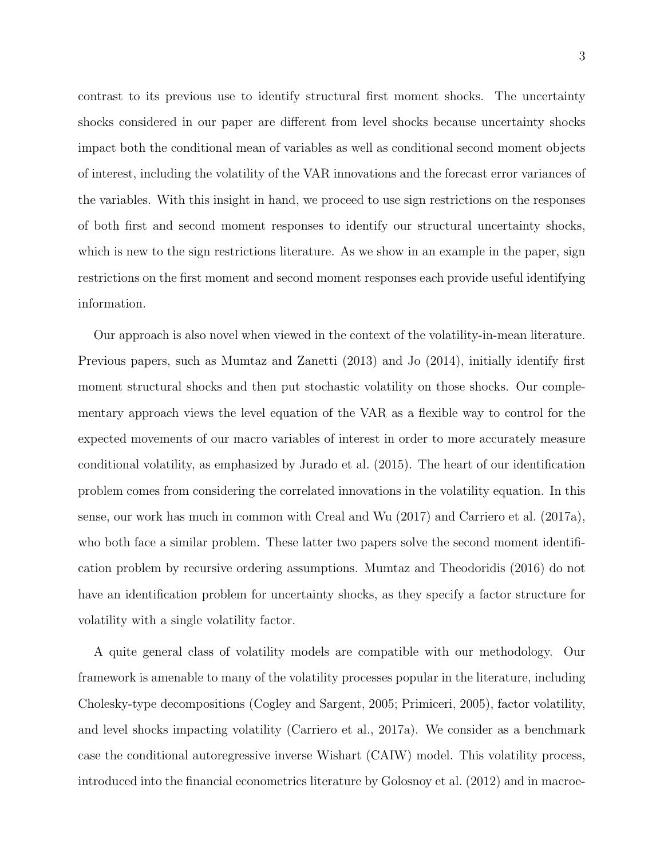contrast to its previous use to identify structural first moment shocks. The uncertainty shocks considered in our paper are different from level shocks because uncertainty shocks impact both the conditional mean of variables as well as conditional second moment objects of interest, including the volatility of the VAR innovations and the forecast error variances of the variables. With this insight in hand, we proceed to use sign restrictions on the responses of both first and second moment responses to identify our structural uncertainty shocks, which is new to the sign restrictions literature. As we show in an example in the paper, sign restrictions on the first moment and second moment responses each provide useful identifying information.

Our approach is also novel when viewed in the context of the volatility-in-mean literature. Previous papers, such as [Mumtaz and Zanetti](#page-34-4) [\(2013\)](#page-34-4) and [Jo](#page-33-4) [\(2014\)](#page-33-4), initially identify first moment structural shocks and then put stochastic volatility on those shocks. Our complementary approach views the level equation of the VAR as a flexible way to control for the expected movements of our macro variables of interest in order to more accurately measure conditional volatility, as emphasized by [Jurado et al.](#page-33-3) [\(2015\)](#page-33-3). The heart of our identification problem comes from considering the correlated innovations in the volatility equation. In this sense, our work has much in common with [Creal and Wu](#page-33-5) [\(2017\)](#page-33-5) and [Carriero et al.](#page-33-6) [\(2017a\)](#page-33-6), who both face a similar problem. These latter two papers solve the second moment identification problem by recursive ordering assumptions. [Mumtaz and Theodoridis](#page-34-5) [\(2016\)](#page-34-5) do not have an identification problem for uncertainty shocks, as they specify a factor structure for volatility with a single volatility factor.

A quite general class of volatility models are compatible with our methodology. Our framework is amenable to many of the volatility processes popular in the literature, including Cholesky-type decompositions [\(Cogley and Sargent,](#page-33-10) [2005;](#page-33-10) [Primiceri,](#page-34-8) [2005\)](#page-34-8), factor volatility, and level shocks impacting volatility [\(Carriero et al.,](#page-33-6) [2017a\)](#page-33-6). We consider as a benchmark case the conditional autoregressive inverse Wishart (CAIW) model. This volatility process, introduced into the financial econometrics literature by [Golosnoy et al.](#page-33-11) [\(2012\)](#page-33-11) and in macroe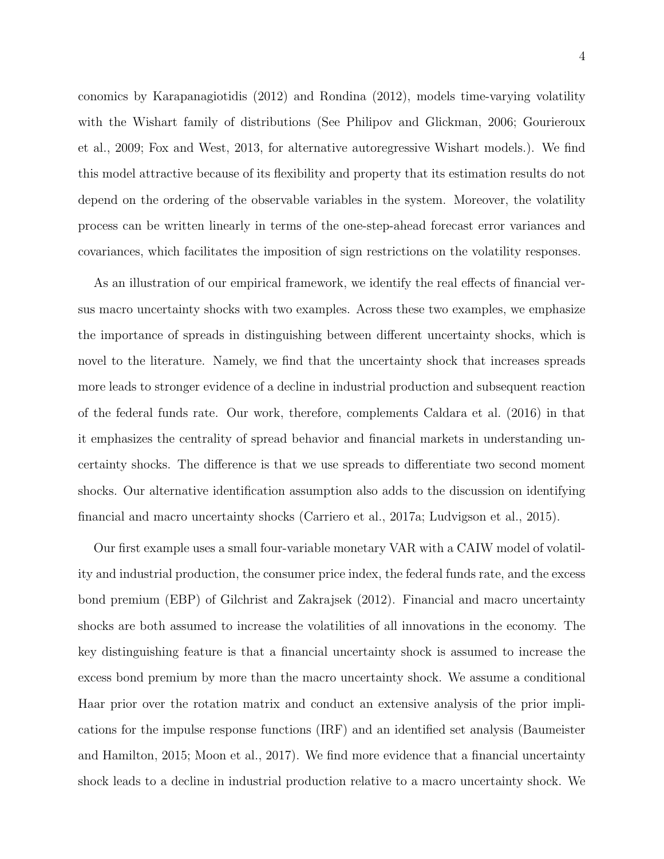conomics by [Karapanagiotidis](#page-34-9) [\(2012\)](#page-34-9) and [Rondina](#page-34-10) [\(2012\)](#page-34-10), models time-varying volatility with the Wishart family of distributions (See [Philipov and Glickman,](#page-34-11) [2006;](#page-34-11) [Gourieroux](#page-33-12) [et al.,](#page-33-12) [2009;](#page-33-12) [Fox and West,](#page-33-13) [2013,](#page-33-13) for alternative autoregressive Wishart models.). We find this model attractive because of its flexibility and property that its estimation results do not depend on the ordering of the observable variables in the system. Moreover, the volatility process can be written linearly in terms of the one-step-ahead forecast error variances and covariances, which facilitates the imposition of sign restrictions on the volatility responses.

As an illustration of our empirical framework, we identify the real effects of financial versus macro uncertainty shocks with two examples. Across these two examples, we emphasize the importance of spreads in distinguishing between different uncertainty shocks, which is novel to the literature. Namely, we find that the uncertainty shock that increases spreads more leads to stronger evidence of a decline in industrial production and subsequent reaction of the federal funds rate. Our work, therefore, complements [Caldara et al.](#page-32-8) [\(2016\)](#page-32-8) in that it emphasizes the centrality of spread behavior and financial markets in understanding uncertainty shocks. The difference is that we use spreads to differentiate two second moment shocks. Our alternative identification assumption also adds to the discussion on identifying financial and macro uncertainty shocks [\(Carriero et al.,](#page-33-6) [2017a;](#page-33-6) [Ludvigson et al.,](#page-34-3) [2015\)](#page-34-3).

Our first example uses a small four-variable monetary VAR with a CAIW model of volatility and industrial production, the consumer price index, the federal funds rate, and the excess bond premium (EBP) of [Gilchrist and Zakrajsek](#page-33-14) [\(2012\)](#page-33-14). Financial and macro uncertainty shocks are both assumed to increase the volatilities of all innovations in the economy. The key distinguishing feature is that a financial uncertainty shock is assumed to increase the excess bond premium by more than the macro uncertainty shock. We assume a conditional Haar prior over the rotation matrix and conduct an extensive analysis of the prior implications for the impulse response functions (IRF) and an identified set analysis [\(Baumeister](#page-32-5) [and Hamilton,](#page-32-5) [2015;](#page-32-5) [Moon et al.,](#page-34-7) [2017\)](#page-34-7). We find more evidence that a financial uncertainty shock leads to a decline in industrial production relative to a macro uncertainty shock. We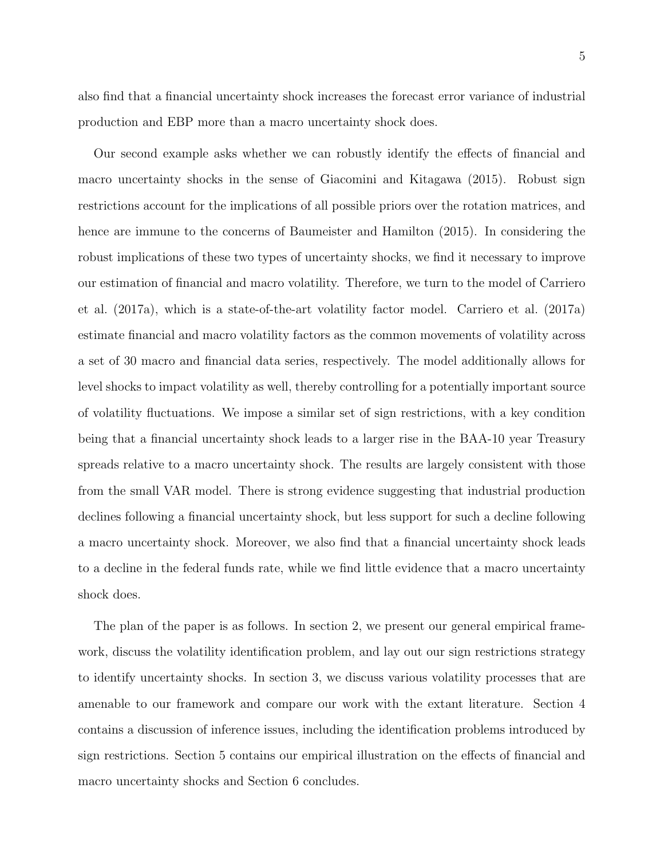also find that a financial uncertainty shock increases the forecast error variance of industrial production and EBP more than a macro uncertainty shock does.

Our second example asks whether we can robustly identify the effects of financial and macro uncertainty shocks in the sense of [Giacomini and Kitagawa](#page-33-9) [\(2015\)](#page-33-9). Robust sign restrictions account for the implications of all possible priors over the rotation matrices, and hence are immune to the concerns of [Baumeister and Hamilton](#page-32-5) [\(2015\)](#page-32-5). In considering the robust implications of these two types of uncertainty shocks, we find it necessary to improve our estimation of financial and macro volatility. Therefore, we turn to the model of [Carriero](#page-33-6) [et al.](#page-33-6) [\(2017a\)](#page-33-6), which is a state-of-the-art volatility factor model. [Carriero et al.](#page-33-6) [\(2017a\)](#page-33-6) estimate financial and macro volatility factors as the common movements of volatility across a set of 30 macro and financial data series, respectively. The model additionally allows for level shocks to impact volatility as well, thereby controlling for a potentially important source of volatility fluctuations. We impose a similar set of sign restrictions, with a key condition being that a financial uncertainty shock leads to a larger rise in the BAA-10 year Treasury spreads relative to a macro uncertainty shock. The results are largely consistent with those from the small VAR model. There is strong evidence suggesting that industrial production declines following a financial uncertainty shock, but less support for such a decline following a macro uncertainty shock. Moreover, we also find that a financial uncertainty shock leads to a decline in the federal funds rate, while we find little evidence that a macro uncertainty shock does.

The plan of the paper is as follows. In section 2, we present our general empirical framework, discuss the volatility identification problem, and lay out our sign restrictions strategy to identify uncertainty shocks. In section 3, we discuss various volatility processes that are amenable to our framework and compare our work with the extant literature. Section 4 contains a discussion of inference issues, including the identification problems introduced by sign restrictions. Section 5 contains our empirical illustration on the effects of financial and macro uncertainty shocks and Section 6 concludes.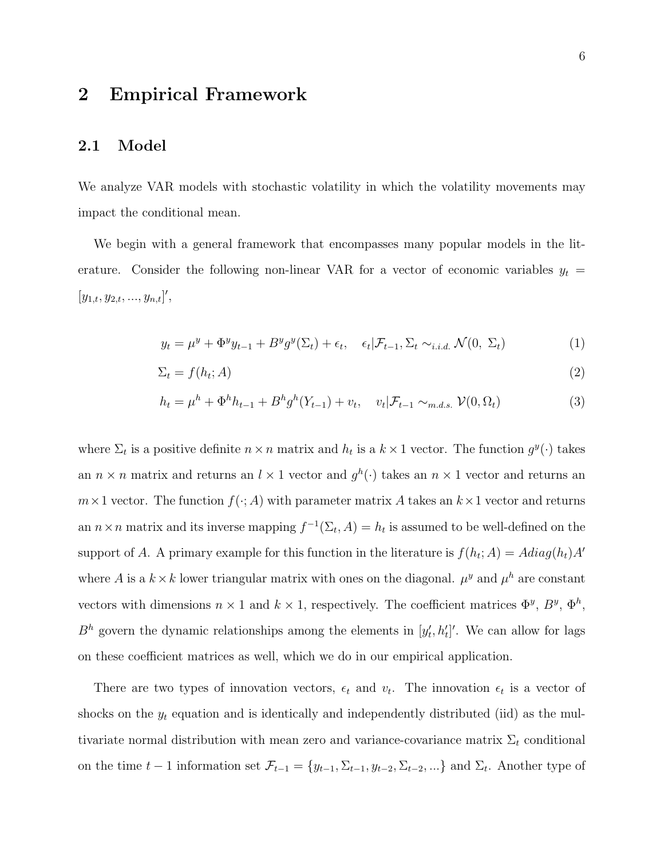### 2 Empirical Framework

#### 2.1 Model

We analyze VAR models with stochastic volatility in which the volatility movements may impact the conditional mean.

We begin with a general framework that encompasses many popular models in the literature. Consider the following non-linear VAR for a vector of economic variables  $y_t =$  $[y_{1,t}, y_{2,t}, ..., y_{n,t}]',$ 

<span id="page-5-2"></span><span id="page-5-1"></span><span id="page-5-0"></span>
$$
y_t = \mu^y + \Phi^y y_{t-1} + B^y g^y(\Sigma_t) + \epsilon_t, \quad \epsilon_t | \mathcal{F}_{t-1}, \Sigma_t \sim_{i.i.d.} \mathcal{N}(0, \Sigma_t)
$$
 (1)

$$
\Sigma_t = f(h_t; A) \tag{2}
$$

$$
h_t = \mu^h + \Phi^h h_{t-1} + B^h g^h (Y_{t-1}) + v_t, \quad v_t | \mathcal{F}_{t-1} \sim_{m.d.s.} \mathcal{V}(0, \Omega_t)
$$
 (3)

where  $\Sigma_t$  is a positive definite  $n \times n$  matrix and  $h_t$  is a  $k \times 1$  vector. The function  $g^y(\cdot)$  takes an  $n \times n$  matrix and returns an  $l \times 1$  vector and  $g^h(\cdot)$  takes an  $n \times 1$  vector and returns an  $m \times 1$  vector. The function  $f(\cdot; A)$  with parameter matrix A takes an  $k \times 1$  vector and returns an  $n \times n$  matrix and its inverse mapping  $f^{-1}(\Sigma_t, A) = h_t$  is assumed to be well-defined on the support of A. A primary example for this function in the literature is  $f(h_t; A) = Adiag(h_t)A'$ where A is a  $k \times k$  lower triangular matrix with ones on the diagonal.  $\mu^y$  and  $\mu^h$  are constant vectors with dimensions  $n \times 1$  and  $k \times 1$ , respectively. The coefficient matrices  $\Phi^y$ ,  $B^y$ ,  $\Phi^h$ ,  $B<sup>h</sup>$  govern the dynamic relationships among the elements in  $[y'_t, h'_t]'$ . We can allow for lags on these coefficient matrices as well, which we do in our empirical application.

There are two types of innovation vectors,  $\epsilon_t$  and  $v_t$ . The innovation  $\epsilon_t$  is a vector of shocks on the  $y_t$  equation and is identically and independently distributed (iid) as the multivariate normal distribution with mean zero and variance-covariance matrix  $\Sigma_t$  conditional on the time  $t-1$  information set  $\mathcal{F}_{t-1} = \{y_{t-1}, \Sigma_{t-1}, y_{t-2}, \Sigma_{t-2}, ...\}$  and  $\Sigma_t$ . Another type of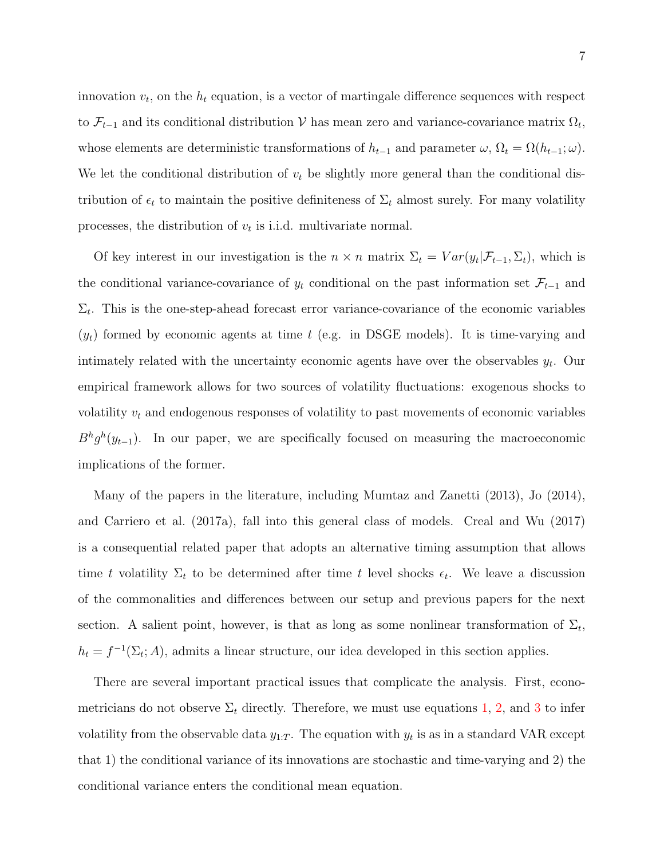innovation  $v_t$ , on the  $h_t$  equation, is a vector of martingale difference sequences with respect to  $\mathcal{F}_{t-1}$  and its conditional distribution V has mean zero and variance-covariance matrix  $\Omega_t$ , whose elements are deterministic transformations of  $h_{t-1}$  and parameter  $\omega$ ,  $\Omega_t = \Omega(h_{t-1}; \omega)$ . We let the conditional distribution of  $v_t$  be slightly more general than the conditional distribution of  $\epsilon_t$  to maintain the positive definiteness of  $\Sigma_t$  almost surely. For many volatility processes, the distribution of  $v_t$  is i.i.d. multivariate normal.

Of key interest in our investigation is the  $n \times n$  matrix  $\Sigma_t = Var(y_t | \mathcal{F}_{t-1}, \Sigma_t)$ , which is the conditional variance-covariance of  $y_t$  conditional on the past information set  $\mathcal{F}_{t-1}$  and  $\Sigma_t$ . This is the one-step-ahead forecast error variance-covariance of the economic variables  $(y_t)$  formed by economic agents at time t (e.g. in DSGE models). It is time-varying and intimately related with the uncertainty economic agents have over the observables  $y_t$ . Our empirical framework allows for two sources of volatility fluctuations: exogenous shocks to volatility  $v_t$  and endogenous responses of volatility to past movements of economic variables  $B<sup>h</sup>g<sup>h</sup>(y<sub>t-1</sub>)$ . In our paper, we are specifically focused on measuring the macroeconomic implications of the former.

Many of the papers in the literature, including [Mumtaz and Zanetti](#page-34-4) [\(2013\)](#page-34-4), [Jo](#page-33-4) [\(2014\)](#page-33-4), and [Carriero et al.](#page-33-6) [\(2017a\)](#page-33-6), fall into this general class of models. [Creal and Wu](#page-33-5) [\(2017\)](#page-33-5) is a consequential related paper that adopts an alternative timing assumption that allows time t volatility  $\Sigma_t$  to be determined after time t level shocks  $\epsilon_t$ . We leave a discussion of the commonalities and differences between our setup and previous papers for the next section. A salient point, however, is that as long as some nonlinear transformation of  $\Sigma_t$ ,  $h_t = f^{-1}(\Sigma_t; A)$ , admits a linear structure, our idea developed in this section applies.

There are several important practical issues that complicate the analysis. First, econometricians do not observe  $\Sigma_t$  directly. Therefore, we must use equations [1,](#page-5-0) [2,](#page-5-1) and [3](#page-5-2) to infer volatility from the observable data  $y_{1:T}$ . The equation with  $y_t$  is as in a standard VAR except that 1) the conditional variance of its innovations are stochastic and time-varying and 2) the conditional variance enters the conditional mean equation.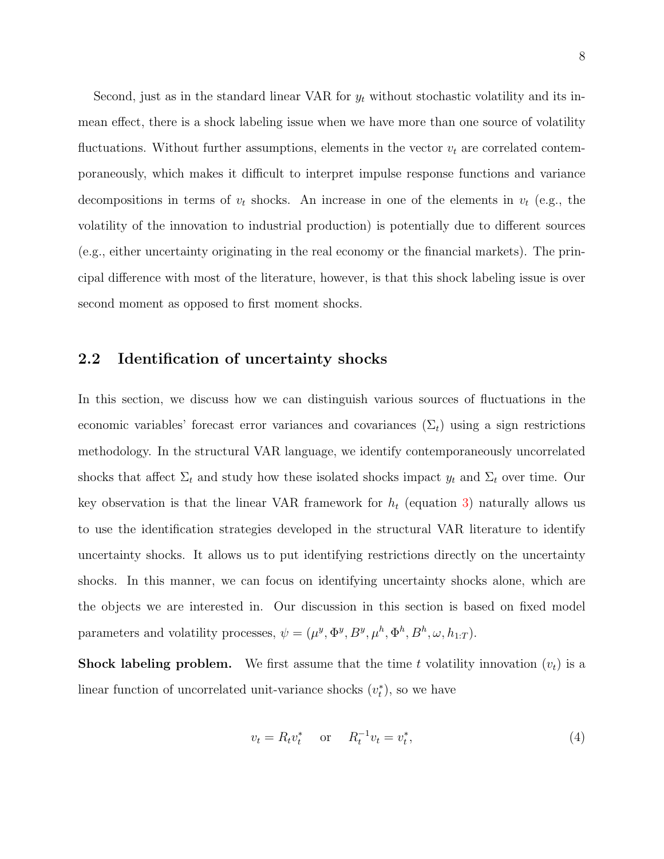Second, just as in the standard linear VAR for  $y_t$  without stochastic volatility and its inmean effect, there is a shock labeling issue when we have more than one source of volatility fluctuations. Without further assumptions, elements in the vector  $v_t$  are correlated contemporaneously, which makes it difficult to interpret impulse response functions and variance decompositions in terms of  $v_t$  shocks. An increase in one of the elements in  $v_t$  (e.g., the volatility of the innovation to industrial production) is potentially due to different sources (e.g., either uncertainty originating in the real economy or the financial markets). The principal difference with most of the literature, however, is that this shock labeling issue is over second moment as opposed to first moment shocks.

#### <span id="page-7-1"></span>2.2 Identification of uncertainty shocks

In this section, we discuss how we can distinguish various sources of fluctuations in the economic variables' forecast error variances and covariances  $(\Sigma_t)$  using a sign restrictions methodology. In the structural VAR language, we identify contemporaneously uncorrelated shocks that affect  $\Sigma_t$  and study how these isolated shocks impact  $y_t$  and  $\Sigma_t$  over time. Our key observation is that the linear VAR framework for  $h_t$  (equation [3\)](#page-5-2) naturally allows us to use the identification strategies developed in the structural VAR literature to identify uncertainty shocks. It allows us to put identifying restrictions directly on the uncertainty shocks. In this manner, we can focus on identifying uncertainty shocks alone, which are the objects we are interested in. Our discussion in this section is based on fixed model parameters and volatility processes,  $\psi = (\mu^y, \Phi^y, B^y, \mu^h, \Phi^h, B^h, \omega, h_{1:T})$ .

**Shock labeling problem.** We first assume that the time t volatility innovation  $(v_t)$  is a linear function of uncorrelated unit-variance shocks  $(v_t^*)$ , so we have

<span id="page-7-0"></span>
$$
v_t = R_t v_t^* \quad \text{or} \quad R_t^{-1} v_t = v_t^*, \tag{4}
$$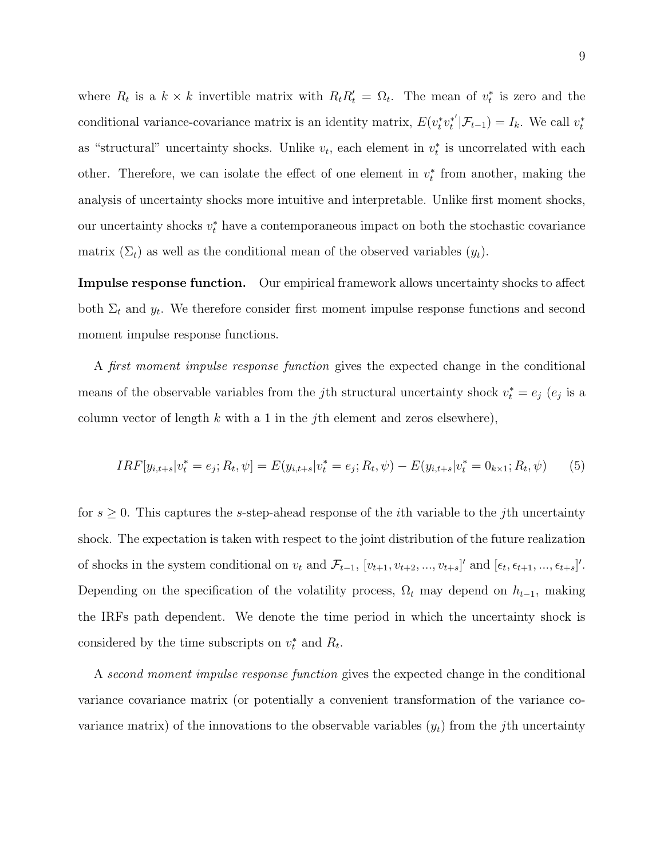where  $R_t$  is a  $k \times k$  invertible matrix with  $R_t R_t' = \Omega_t$ . The mean of  $v_t^*$  is zero and the conditional variance-covariance matrix is an identity matrix,  $E(v_t^* v_t^{*'} )$  $t^{*'}|\mathcal{F}_{t-1})=I_k$ . We call  $v_t^*$ as "structural" uncertainty shocks. Unlike  $v_t$ , each element in  $v_t^*$  is uncorrelated with each other. Therefore, we can isolate the effect of one element in  $v_t^*$  from another, making the analysis of uncertainty shocks more intuitive and interpretable. Unlike first moment shocks, our uncertainty shocks  $v_t^*$  have a contemporaneous impact on both the stochastic covariance matrix  $(\Sigma_t)$  as well as the conditional mean of the observed variables  $(y_t)$ .

Impulse response function. Our empirical framework allows uncertainty shocks to affect both  $\Sigma_t$  and  $y_t$ . We therefore consider first moment impulse response functions and second moment impulse response functions.

A first moment impulse response function gives the expected change in the conditional means of the observable variables from the *j*th structural uncertainty shock  $v_t^* = e_j$  ( $e_j$ ) is a column vector of length k with a 1 in the jth element and zeros elsewhere),

$$
IRF[y_{i,t+s}|v_t^* = e_j; R_t, \psi] = E(y_{i,t+s}|v_t^* = e_j; R_t, \psi) - E(y_{i,t+s}|v_t^* = 0_{k \times 1}; R_t, \psi)
$$
(5)

for  $s \geq 0$ . This captures the s-step-ahead response of the *i*th variable to the *j*th uncertainty shock. The expectation is taken with respect to the joint distribution of the future realization of shocks in the system conditional on  $v_t$  and  $\mathcal{F}_{t-1}$ ,  $[v_{t+1}, v_{t+2}, ..., v_{t+s}]'$  and  $[\epsilon_t, \epsilon_{t+1}, ..., \epsilon_{t+s}]'$ . Depending on the specification of the volatility process,  $\Omega_t$  may depend on  $h_{t-1}$ , making the IRFs path dependent. We denote the time period in which the uncertainty shock is considered by the time subscripts on  $v_t^*$  and  $R_t$ .

A second moment impulse response function gives the expected change in the conditional variance covariance matrix (or potentially a convenient transformation of the variance covariance matrix) of the innovations to the observable variables  $(y_t)$  from the jth uncertainty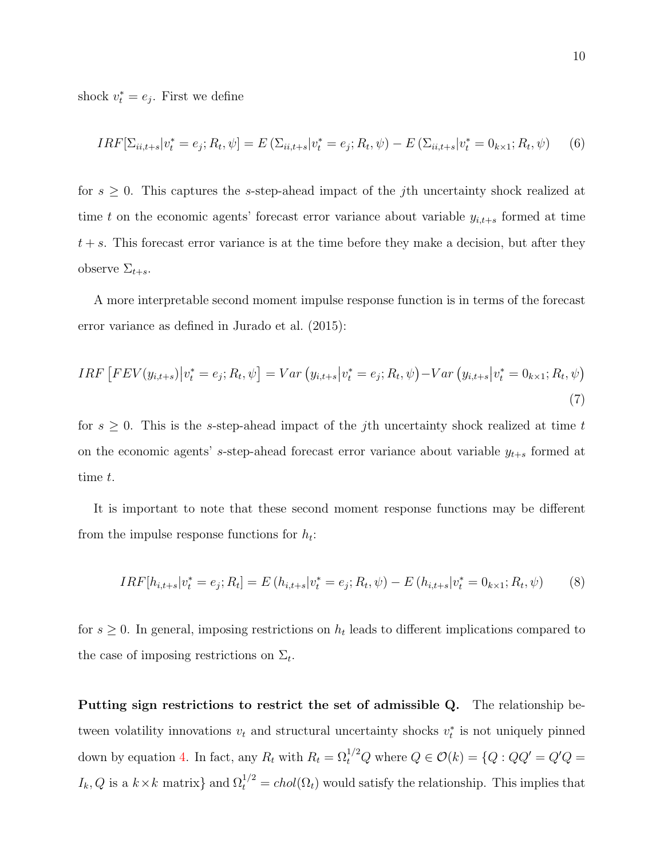shock  $v_t^* = e_j$ . First we define

$$
IRF[\Sigma_{ii,t+s}|v_t^* = e_j; R_t, \psi] = E(\Sigma_{ii,t+s}|v_t^* = e_j; R_t, \psi) - E(\Sigma_{ii,t+s}|v_t^* = 0_{k \times 1}; R_t, \psi)
$$
(6)

for  $s \geq 0$ . This captures the s-step-ahead impact of the jth uncertainty shock realized at time t on the economic agents' forecast error variance about variable  $y_{i,t+s}$  formed at time  $t + s$ . This forecast error variance is at the time before they make a decision, but after they observe  $\Sigma_{t+s}$ .

A more interpretable second moment impulse response function is in terms of the forecast error variance as defined in [Jurado et al.](#page-33-3) [\(2015\)](#page-33-3):

$$
IRF\left[FEV(y_{i,t+s})\middle|v_t^* = e_j; R_t, \psi\right] = Var\left(y_{i,t+s}\middle|v_t^* = e_j; R_t, \psi\right) - Var\left(y_{i,t+s}\middle|v_t^* = 0_{k\times 1}; R_t, \psi\right)
$$
\n(7)

for  $s \geq 0$ . This is the s-step-ahead impact of the jth uncertainty shock realized at time t on the economic agents' s-step-ahead forecast error variance about variable  $y_{t+s}$  formed at time t.

It is important to note that these second moment response functions may be different from the impulse response functions for  $h_t$ :

$$
IRF[h_{i,t+s}|v_t^* = e_j; R_t] = E(h_{i,t+s}|v_t^* = e_j; R_t, \psi) - E(h_{i,t+s}|v_t^* = 0_{k \times 1}; R_t, \psi)
$$
(8)

for  $s \geq 0$ . In general, imposing restrictions on  $h_t$  leads to different implications compared to the case of imposing restrictions on  $\Sigma_t$ .

Putting sign restrictions to restrict the set of admissible Q. The relationship between volatility innovations  $v_t$  and structural uncertainty shocks  $v_t^*$  is not uniquely pinned down by equation [4.](#page-7-0) In fact, any  $R_t$  with  $R_t = \Omega_t^{1/2} Q$  where  $Q \in \mathcal{O}(k) = \{Q : QQ' = Q'Q =$  $I_k, Q$  is a  $k \times k$  matrix} and  $\Omega_t^{1/2} = chol(\Omega_t)$  would satisfy the relationship. This implies that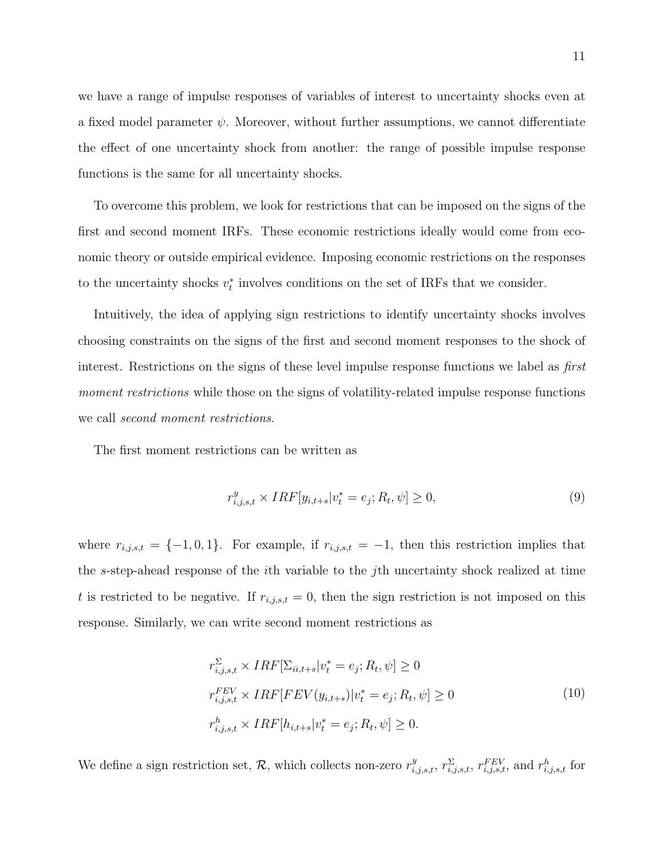we have a range of impulse responses of variables of interest to uncertainty shocks even at a fixed model parameter  $\psi$ . Moreover, without further assumptions, we cannot differentiate the effect of one uncertainty shock from another: the range of possible impulse response functions is the same for all uncertainty shocks.

To overcome this problem, we look for restrictions that can be imposed on the signs of the first and second moment IRFs. These economic restrictions ideally would come from economic theory or outside empirical evidence. Imposing economic restrictions on the responses to the uncertainty shocks  $v_t^*$  involves conditions on the set of IRFs that we consider.

Intuitively, the idea of applying sign restrictions to identify uncertainty shocks involves choosing constraints on the signs of the first and second moment responses to the shock of interest. Restrictions on the signs of these level impulse response functions we label as first moment restrictions while those on the signs of volatility-related impulse response functions we call second moment restrictions.

The first moment restrictions can be written as

$$
r_{i,j,s,t}^y \times IRF[y_{i,t+s}|v_t^* = e_j; R_t, \psi] \ge 0,
$$
\n(9)

where  $r_{i,j,s,t} = \{-1,0,1\}$ . For example, if  $r_{i,j,s,t} = -1$ , then this restriction implies that the s-step-ahead response of the ith variable to the jth uncertainty shock realized at time t is restricted to be negative. If  $r_{i,j,s,t} = 0$ , then the sign restriction is not imposed on this response. Similarly, we can write second moment restrictions as

$$
r_{i,j,s,t}^{\Sigma} \times IRF[\Sigma_{ii,t+s}|v_t^* = e_j; R_t, \psi] \ge 0
$$
  
\n
$$
r_{i,j,s,t}^{FEV} \times IRF[FEV(y_{i,t+s})|v_t^* = e_j; R_t, \psi] \ge 0
$$
  
\n
$$
r_{i,j,s,t}^h \times IRF[h_{i,t+s}|v_t^* = e_j; R_t, \psi] \ge 0.
$$
\n(10)

We define a sign restriction set, R, which collects non-zero  $r_{i,j,s,t}^y$ ,  $r_{i,j,s,t}^{\Sigma}$ ,  $r_{i,j,s,t}^{FEV}$ , and  $r_{i,j,s,t}^h$  for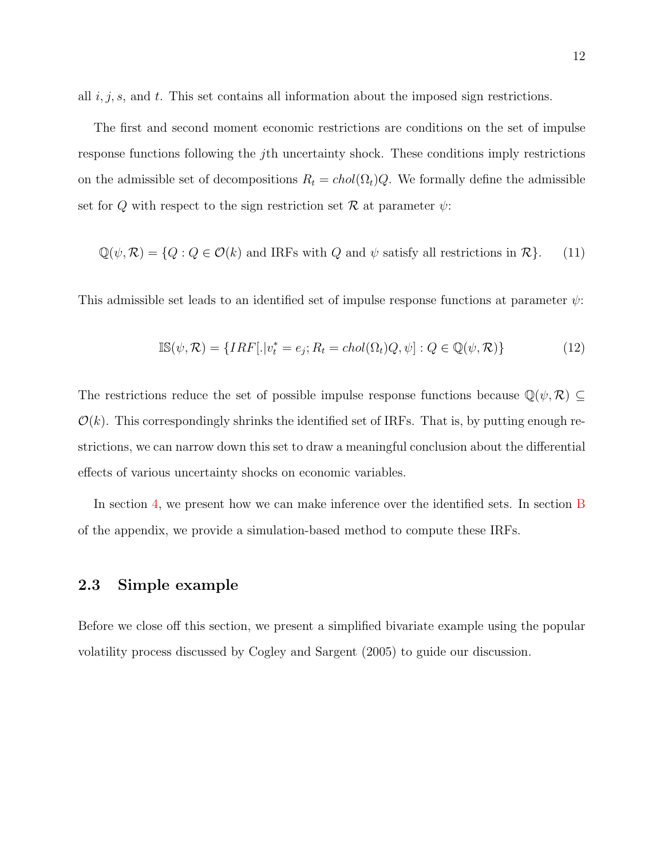all  $i, j, s$ , and  $t$ . This set contains all information about the imposed sign restrictions.

The first and second moment economic restrictions are conditions on the set of impulse response functions following the jth uncertainty shock. These conditions imply restrictions on the admissible set of decompositions  $R_t = chol(\Omega_t)Q$ . We formally define the admissible set for Q with respect to the sign restriction set  $\mathcal R$  at parameter  $\psi$ :

$$
\mathbb{Q}(\psi,\mathcal{R}) = \{Q : Q \in \mathcal{O}(k) \text{ and IRFs with } Q \text{ and } \psi \text{ satisfy all restrictions in } \mathcal{R}\}. \tag{11}
$$

This admissible set leads to an identified set of impulse response functions at parameter  $\psi$ :

$$
\mathbb{IS}(\psi,\mathcal{R}) = \{IRF[.]v_t^* = e_j; R_t = chol(\Omega_t)Q, \psi] : Q \in \mathbb{Q}(\psi,\mathcal{R})\}
$$
(12)

The restrictions reduce the set of possible impulse response functions because  $\mathbb{Q}(\psi,\mathcal{R})\subseteq$  $\mathcal{O}(k)$ . This correspondingly shrinks the identified set of IRFs. That is, by putting enough restrictions, we can narrow down this set to draw a meaningful conclusion about the differential effects of various uncertainty shocks on economic variables.

In section [4,](#page-20-0) we present how we can make inference over the identified sets. In section [B](#page-0-0) of the appendix, we provide a simulation-based method to compute these IRFs.

#### <span id="page-11-0"></span>2.3 Simple example

Before we close off this section, we present a simplified bivariate example using the popular volatility process discussed by [Cogley and Sargent](#page-33-10) [\(2005\)](#page-33-10) to guide our discussion.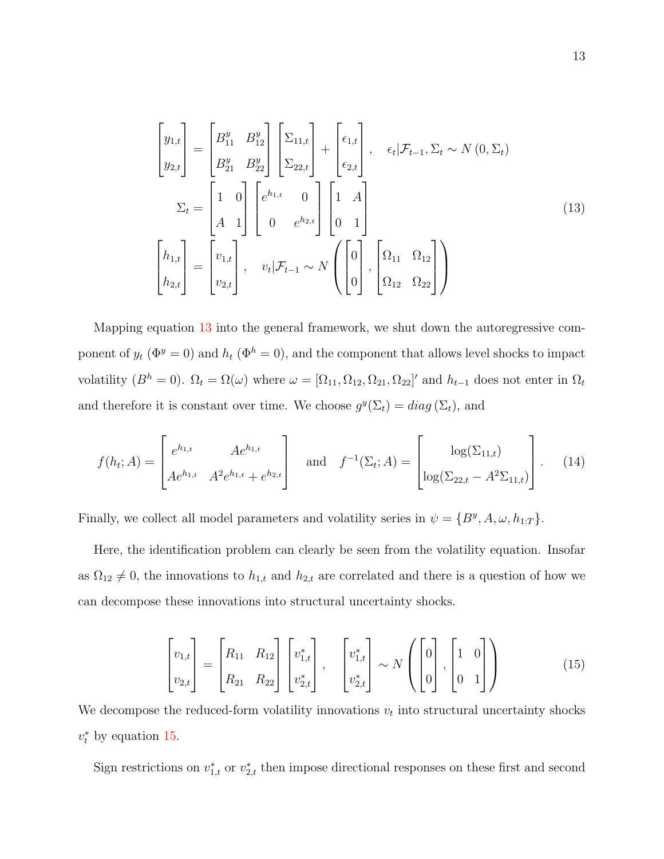<span id="page-12-0"></span>
$$
\begin{bmatrix} y_{1,t} \\ y_{2,t} \end{bmatrix} = \begin{bmatrix} B_{11}^y & B_{12}^y \\ B_{21}^y & B_{22}^y \end{bmatrix} \begin{bmatrix} \Sigma_{11,t} \\ \Sigma_{22,t} \end{bmatrix} + \begin{bmatrix} \epsilon_{1,t} \\ \epsilon_{2,t} \end{bmatrix}, \quad \epsilon_t | \mathcal{F}_{t-1}, \Sigma_t \sim N(0, \Sigma_t)
$$

$$
\Sigma_t = \begin{bmatrix} 1 & 0 \\ A & 1 \end{bmatrix} \begin{bmatrix} e^{h_{1,t}} & 0 \\ 0 & e^{h_{2,t}} \end{bmatrix} \begin{bmatrix} 1 & A \\ 0 & 1 \end{bmatrix}
$$

$$
\begin{bmatrix} h_{1,t} \\ h_{2,t} \end{bmatrix} = \begin{bmatrix} v_{1,t} \\ v_{2,t} \end{bmatrix}, \quad v_t | \mathcal{F}_{t-1} \sim N \begin{bmatrix} 0 \\ 0 \end{bmatrix}, \begin{bmatrix} \Omega_{11} & \Omega_{12} \\ \Omega_{12} & \Omega_{22} \end{bmatrix}
$$

$$
(13)
$$

Mapping equation [13](#page-12-0) into the general framework, we shut down the autoregressive component of  $y_t$  ( $\Phi^y = 0$ ) and  $h_t$  ( $\Phi^h = 0$ ), and the component that allows level shocks to impact volatility  $(B^h = 0)$ .  $\Omega_t = \Omega(\omega)$  where  $\omega = [\Omega_{11}, \Omega_{12}, \Omega_{21}, \Omega_{22}]'$  and  $h_{t-1}$  does not enter in  $\Omega_t$ and therefore it is constant over time. We choose  $g^y(\Sigma_t) = diag(\Sigma_t)$ , and

$$
f(h_t; A) = \begin{bmatrix} e^{h_{1,t}} & Ae^{h_{1,t}} \\ Ae^{h_{1,t}} & A^2e^{h_{1,t}} + e^{h_{2,t}} \end{bmatrix} \quad \text{and} \quad f^{-1}(\Sigma_t; A) = \begin{bmatrix} \log(\Sigma_{11,t}) \\ \log(\Sigma_{22,t} - A^2\Sigma_{11,t}) \end{bmatrix} . \tag{14}
$$

Finally, we collect all model parameters and volatility series in  $\psi = \{B^y, A, \omega, h_{1:T}\}.$ 

Here, the identification problem can clearly be seen from the volatility equation. Insofar as  $\Omega_{12} \neq 0$ , the innovations to  $h_{1,t}$  and  $h_{2,t}$  are correlated and there is a question of how we can decompose these innovations into structural uncertainty shocks.

<span id="page-12-1"></span>
$$
\begin{bmatrix} v_{1,t} \\ v_{2,t} \end{bmatrix} = \begin{bmatrix} R_{11} & R_{12} \\ R_{21} & R_{22} \end{bmatrix} \begin{bmatrix} v_{1,t}^* \\ v_{2,t}^* \end{bmatrix}, \quad \begin{bmatrix} v_{1,t}^* \\ v_{2,t}^* \end{bmatrix} \sim N \left( \begin{bmatrix} 0 \\ 0 \end{bmatrix}, \begin{bmatrix} 1 & 0 \\ 0 & 1 \end{bmatrix} \right)
$$
(15)

We decompose the reduced-form volatility innovations  $v_t$  into structural uncertainty shocks  $v_t^*$  by equation [15.](#page-12-1)

Sign restrictions on  $v_{1,t}^*$  or  $v_{2,t}^*$  then impose directional responses on these first and second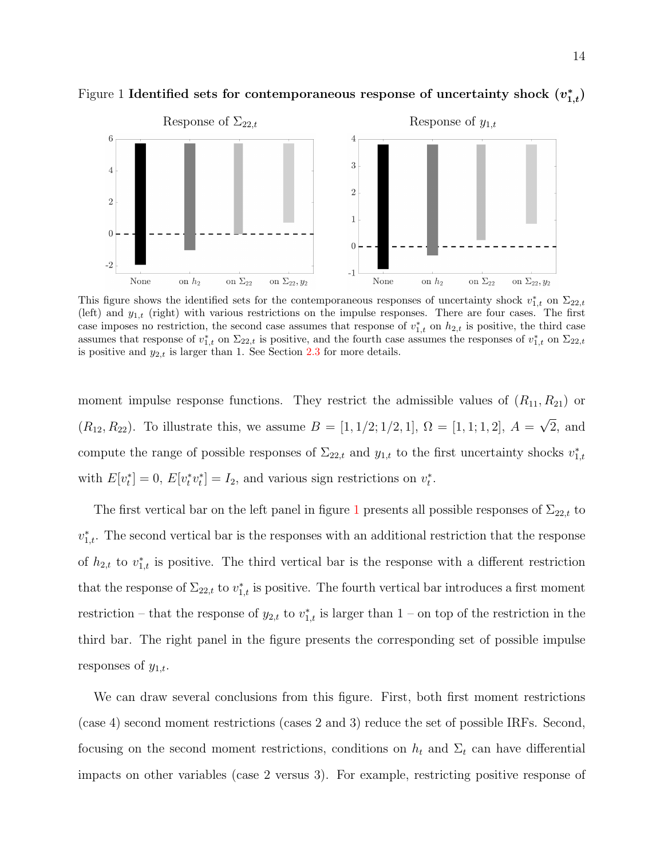

<span id="page-13-0"></span>Figure 1 Identified sets for contemporaneous response of uncertainty shock  $(v_{1,t}^*)$ 

This figure shows the identified sets for the contemporaneous responses of uncertainty shock  $v_{1,t}^*$  on  $\Sigma_{22,t}$ (left) and  $y_{1,t}$  (right) with various restrictions on the impulse responses. There are four cases. The first case imposes no restriction, the second case assumes that response of  $v_{1,t}^*$  on  $h_{2,t}$  is positive, the third case assumes that response of  $v_{1,t}^*$  on  $\Sigma_{22,t}$  is positive, and the fourth case assumes the responses of  $v_{1,t}^*$  on  $\Sigma_{22,t}$ is positive and  $y_{2,t}$  is larger than 1. See Section [2.3](#page-11-0) for more details.

moment impulse response functions. They restrict the admissible values of  $(R_{11}, R_{21})$  or  $(R_{12}, R_{22})$ . To illustrate this, we assume  $B = [1, 1/2, 1/2, 1]$ ,  $\Omega = [1, 1, 1, 2]$ ,  $A =$ √ 2, and compute the range of possible responses of  $\Sigma_{22,t}$  and  $y_{1,t}$  to the first uncertainty shocks  $v_{1,t}^*$ with  $E[v_t^*] = 0$ ,  $E[v_t^* v_t^*] = I_2$ , and various sign restrictions on  $v_t^*$ .

The first vertical bar on the left panel in figure [1](#page-13-0) presents all possible responses of  $\Sigma_{22,t}$  to  $v_{1,t}^*$ . The second vertical bar is the responses with an additional restriction that the response of  $h_{2,t}$  to  $v_{1,t}^*$  is positive. The third vertical bar is the response with a different restriction that the response of  $\Sigma_{22,t}$  to  $v_{1,t}^*$  is positive. The fourth vertical bar introduces a first moment restriction – that the response of  $y_{2,t}$  to  $v_{1,t}^*$  is larger than 1 – on top of the restriction in the third bar. The right panel in the figure presents the corresponding set of possible impulse responses of  $y_{1,t}$ .

We can draw several conclusions from this figure. First, both first moment restrictions (case 4) second moment restrictions (cases 2 and 3) reduce the set of possible IRFs. Second, focusing on the second moment restrictions, conditions on  $h_t$  and  $\Sigma_t$  can have differential impacts on other variables (case 2 versus 3). For example, restricting positive response of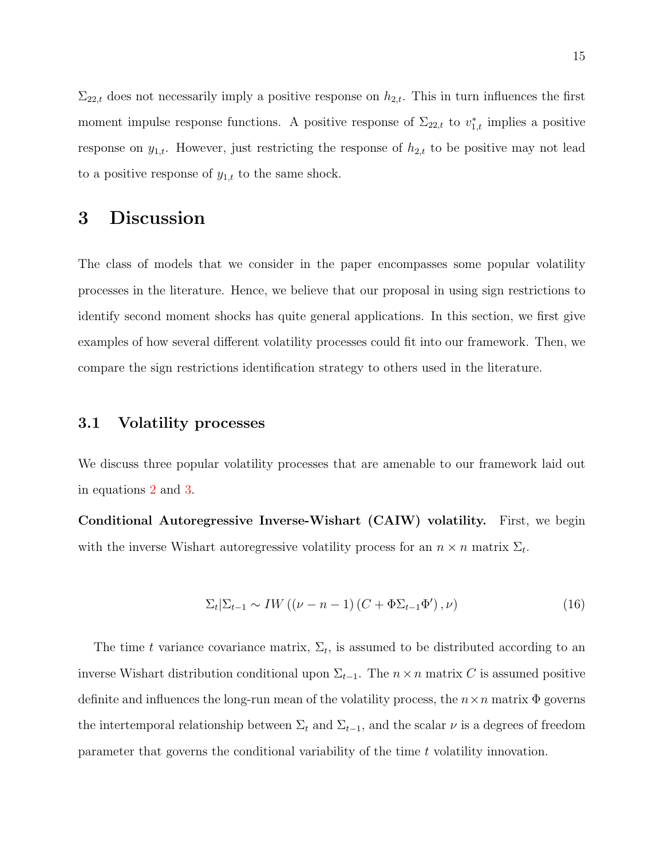$\Sigma_{22,t}$  does not necessarily imply a positive response on  $h_{2,t}$ . This in turn influences the first moment impulse response functions. A positive response of  $\Sigma_{22,t}$  to  $v_{1,t}^*$  implies a positive response on  $y_{1,t}$ . However, just restricting the response of  $h_{2,t}$  to be positive may not lead to a positive response of  $y_{1,t}$  to the same shock.

## 3 Discussion

The class of models that we consider in the paper encompasses some popular volatility processes in the literature. Hence, we believe that our proposal in using sign restrictions to identify second moment shocks has quite general applications. In this section, we first give examples of how several different volatility processes could fit into our framework. Then, we compare the sign restrictions identification strategy to others used in the literature.

#### 3.1 Volatility processes

We discuss three popular volatility processes that are amenable to our framework laid out in equations [2](#page-5-1) and [3.](#page-5-2)

Conditional Autoregressive Inverse-Wishart (CAIW) volatility. First, we begin with the inverse Wishart autoregressive volatility process for an  $n \times n$  matrix  $\Sigma_t$ .

$$
\Sigma_t | \Sigma_{t-1} \sim IW\left( (\nu - n - 1) \left( C + \Phi \Sigma_{t-1} \Phi' \right), \nu \right) \tag{16}
$$

The time t variance covariance matrix,  $\Sigma_t$ , is assumed to be distributed according to an inverse Wishart distribution conditional upon  $\Sigma_{t-1}$ . The  $n \times n$  matrix C is assumed positive definite and influences the long-run mean of the volatility process, the  $n \times n$  matrix  $\Phi$  governs the intertemporal relationship between  $\Sigma_t$  and  $\Sigma_{t-1}$ , and the scalar  $\nu$  is a degrees of freedom parameter that governs the conditional variability of the time t volatility innovation.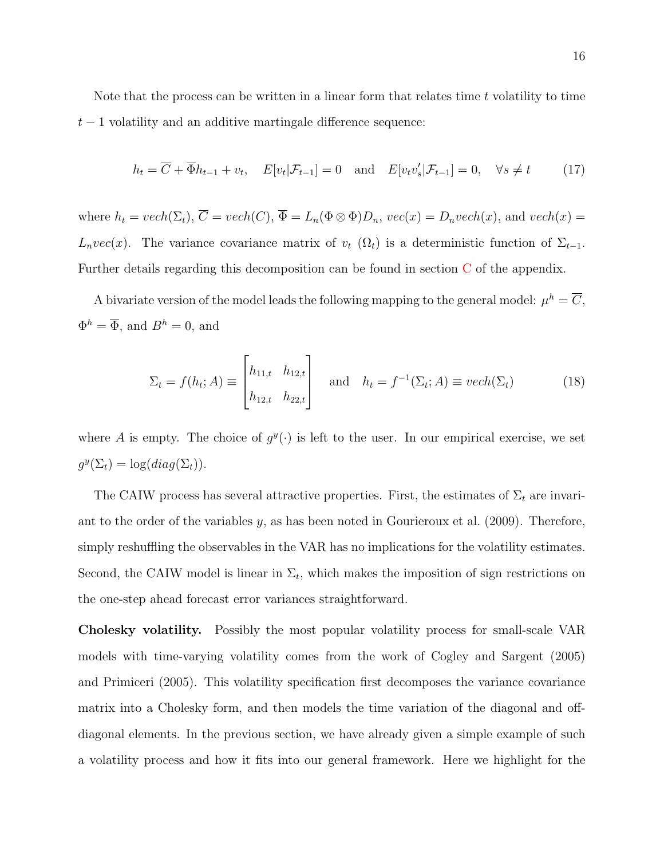Note that the process can be written in a linear form that relates time  $t$  volatility to time  $t-1$  volatility and an additive martingale difference sequence:

$$
h_t = \overline{C} + \overline{\Phi}h_{t-1} + v_t, \quad E[v_t|\mathcal{F}_{t-1}] = 0 \quad \text{and} \quad E[v_t v_s'|\mathcal{F}_{t-1}] = 0, \quad \forall s \neq t \tag{17}
$$

where  $h_t = vech(\Sigma_t)$ ,  $\overline{C} = vech(C)$ ,  $\overline{\Phi} = L_n(\Phi \otimes \Phi)D_n$ ,  $vec(x) = D_nvech(x)$ , and  $vech(x) =$  $L_nvec(x)$ . The variance covariance matrix of  $v_t$  ( $\Omega_t$ ) is a deterministic function of  $\Sigma_{t-1}$ . Further details regarding this decomposition can be found in section [C](#page-0-0) of the appendix.

A bivariate version of the model leads the following mapping to the general model:  $\mu^h = \overline{C}$ ,  $\Phi^h = \overline{\Phi}$ , and  $B^h = 0$ , and

$$
\Sigma_t = f(h_t; A) \equiv \begin{bmatrix} h_{11,t} & h_{12,t} \\ h_{12,t} & h_{22,t} \end{bmatrix} \quad \text{and} \quad h_t = f^{-1}(\Sigma_t; A) \equiv vech(\Sigma_t)
$$
 (18)

where A is empty. The choice of  $g^y(\cdot)$  is left to the user. In our empirical exercise, we set  $g^y(\Sigma_t) = \log(diag(\Sigma_t)).$ 

The CAIW process has several attractive properties. First, the estimates of  $\Sigma_t$  are invariant to the order of the variables  $y$ , as has been noted in [Gourieroux et al.](#page-33-12) [\(2009\)](#page-33-12). Therefore, simply reshuffling the observables in the VAR has no implications for the volatility estimates. Second, the CAIW model is linear in  $\Sigma_t$ , which makes the imposition of sign restrictions on the one-step ahead forecast error variances straightforward.

Cholesky volatility. Possibly the most popular volatility process for small-scale VAR models with time-varying volatility comes from the work of [Cogley and Sargent](#page-33-10) [\(2005\)](#page-33-10) and [Primiceri](#page-34-8) [\(2005\)](#page-34-8). This volatility specification first decomposes the variance covariance matrix into a Cholesky form, and then models the time variation of the diagonal and offdiagonal elements. In the previous section, we have already given a simple example of such a volatility process and how it fits into our general framework. Here we highlight for the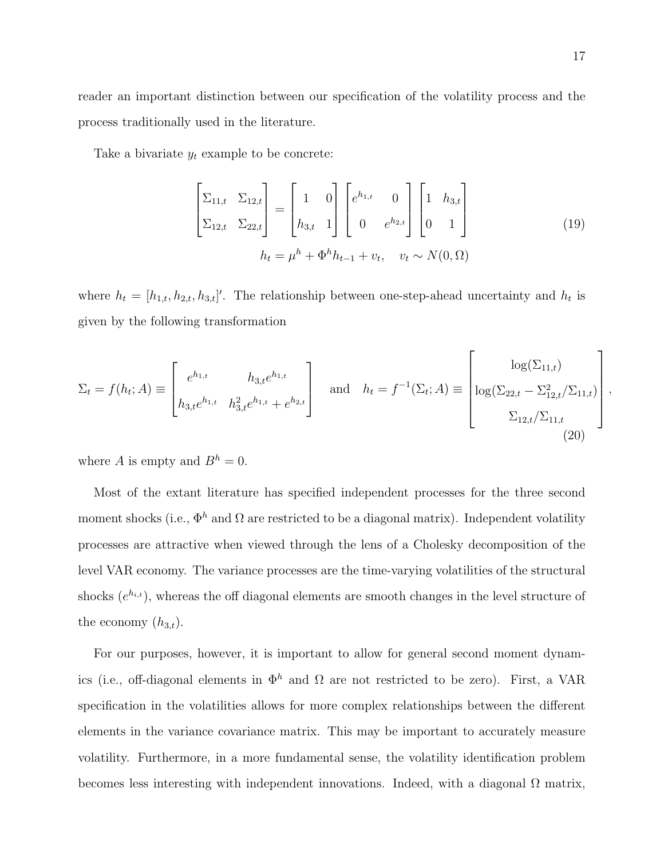process traditionally used in the literature.

Take a bivariate  $y_t$  example to be concrete:

$$
\begin{bmatrix} \Sigma_{11,t} & \Sigma_{12,t} \\ \Sigma_{12,t} & \Sigma_{22,t} \end{bmatrix} = \begin{bmatrix} 1 & 0 \\ h_{3,t} & 1 \end{bmatrix} \begin{bmatrix} e^{h_{1,t}} & 0 \\ 0 & e^{h_{2,t}} \end{bmatrix} \begin{bmatrix} 1 & h_{3,t} \\ 0 & 1 \end{bmatrix}
$$
  

$$
h_t = \mu^h + \Phi^h h_{t-1} + v_t, \quad v_t \sim N(0,\Omega)
$$
 (19)

where  $h_t = [h_{1,t}, h_{2,t}, h_{3,t}]'$ . The relationship between one-step-ahead uncertainty and  $h_t$  is given by the following transformation

$$
\Sigma_t = f(h_t; A) \equiv \begin{bmatrix} e^{h_{1,t}} & h_{3,t}e^{h_{1,t}} \\ h_{3,t}e^{h_{1,t}} & h_{3,t}^2e^{h_{1,t}} + e^{h_{2,t}} \end{bmatrix} \text{ and } h_t = f^{-1}(\Sigma_t; A) \equiv \begin{bmatrix} \log(\Sigma_{11,t}) \\ \log(\Sigma_{22,t} - \Sigma_{12,t}^2/\Sigma_{11,t}) \\ \Sigma_{12,t}/\Sigma_{11,t} \end{bmatrix}
$$
(20)

where A is empty and  $B^h = 0$ .

Most of the extant literature has specified independent processes for the three second moment shocks (i.e.,  $\Phi^h$  and  $\Omega$  are restricted to be a diagonal matrix). Independent volatility processes are attractive when viewed through the lens of a Cholesky decomposition of the level VAR economy. The variance processes are the time-varying volatilities of the structural shocks  $(e^{h_{i,t}})$ , whereas the off diagonal elements are smooth changes in the level structure of the economy  $(h_{3,t})$ .

For our purposes, however, it is important to allow for general second moment dynamics (i.e., off-diagonal elements in  $\Phi^h$  and  $\Omega$  are not restricted to be zero). First, a VAR specification in the volatilities allows for more complex relationships between the different elements in the variance covariance matrix. This may be important to accurately measure volatility. Furthermore, in a more fundamental sense, the volatility identification problem becomes less interesting with independent innovations. Indeed, with a diagonal  $\Omega$  matrix, ,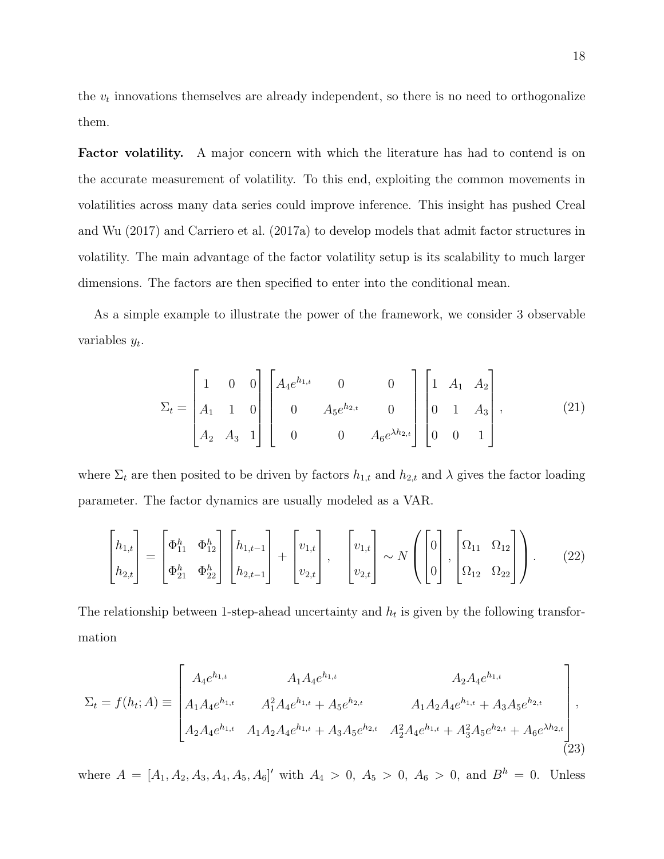the  $v_t$  innovations themselves are already independent, so there is no need to orthogonalize them.

Factor volatility. A major concern with which the literature has had to contend is on the accurate measurement of volatility. To this end, exploiting the common movements in volatilities across many data series could improve inference. This insight has pushed [Creal](#page-33-5) [and Wu](#page-33-5) [\(2017\)](#page-33-5) and [Carriero et al.](#page-33-6) [\(2017a\)](#page-33-6) to develop models that admit factor structures in volatility. The main advantage of the factor volatility setup is its scalability to much larger dimensions. The factors are then specified to enter into the conditional mean.

As a simple example to illustrate the power of the framework, we consider 3 observable variables  $y_t$ .

$$
\Sigma_{t} = \begin{bmatrix} 1 & 0 & 0 \\ A_{1} & 1 & 0 \\ A_{2} & A_{3} & 1 \end{bmatrix} \begin{bmatrix} A_{4}e^{h_{1,t}} & 0 & 0 \\ 0 & A_{5}e^{h_{2,t}} & 0 \\ 0 & 0 & A_{6}e^{\lambda h_{2,t}} \end{bmatrix} \begin{bmatrix} 1 & A_{1} & A_{2} \\ 0 & 1 & A_{3} \\ 0 & 0 & 1 \end{bmatrix},
$$
(21)

where  $\Sigma_t$  are then posited to be driven by factors  $h_{1,t}$  and  $h_{2,t}$  and  $\lambda$  gives the factor loading parameter. The factor dynamics are usually modeled as a VAR.

$$
\begin{bmatrix} h_{1,t} \\ h_{2,t} \end{bmatrix} = \begin{bmatrix} \Phi_{11}^h & \Phi_{12}^h \\ \Phi_{21}^h & \Phi_{22}^h \end{bmatrix} \begin{bmatrix} h_{1,t-1} \\ h_{2,t-1} \end{bmatrix} + \begin{bmatrix} v_{1,t} \\ v_{2,t} \end{bmatrix}, \quad \begin{bmatrix} v_{1,t} \\ v_{2,t} \end{bmatrix} \sim N \left( \begin{bmatrix} 0 \\ 0 \end{bmatrix}, \begin{bmatrix} \Omega_{11} & \Omega_{12} \\ \Omega_{12} & \Omega_{22} \end{bmatrix} \right). \tag{22}
$$

The relationship between 1-step-ahead uncertainty and  $h_t$  is given by the following transformation

$$
\Sigma_{t} = f(h_{t}; A) \equiv \begin{bmatrix} A_{4}e^{h_{1,t}} & A_{1}A_{4}e^{h_{1,t}} & A_{2}A_{4}e^{h_{1,t}} \\ A_{1}A_{4}e^{h_{1,t}} & A_{1}^{2}A_{4}e^{h_{1,t}} + A_{5}e^{h_{2,t}} & A_{1}A_{2}A_{4}e^{h_{1,t}} + A_{3}A_{5}e^{h_{2,t}} \\ A_{2}A_{4}e^{h_{1,t}} & A_{1}A_{2}A_{4}e^{h_{1,t}} + A_{3}A_{5}e^{h_{2,t}} & A_{2}^{2}A_{4}e^{h_{1,t}} + A_{3}^{2}A_{5}e^{h_{2,t}} + A_{6}e^{\lambda h_{2,t}} \end{bmatrix},
$$
\n(23)

where  $A = [A_1, A_2, A_3, A_4, A_5, A_6]'$  with  $A_4 > 0$ ,  $A_5 > 0$ ,  $A_6 > 0$ , and  $B<sup>h</sup> = 0$ . Unless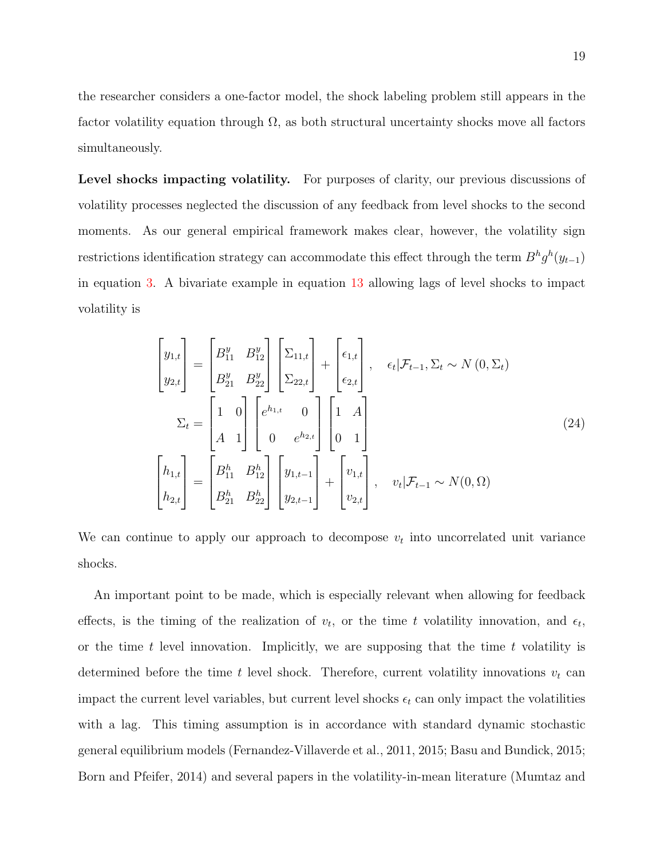the researcher considers a one-factor model, the shock labeling problem still appears in the factor volatility equation through  $\Omega$ , as both structural uncertainty shocks move all factors simultaneously.

Level shocks impacting volatility. For purposes of clarity, our previous discussions of volatility processes neglected the discussion of any feedback from level shocks to the second moments. As our general empirical framework makes clear, however, the volatility sign restrictions identification strategy can accommodate this effect through the term  $B^{h}g^{h}(y_{t-1})$ in equation [3.](#page-5-2) A bivariate example in equation [13](#page-12-0) allowing lags of level shocks to impact volatility is

$$
\begin{bmatrix} y_{1,t} \\ y_{2,t} \end{bmatrix} = \begin{bmatrix} B_{11}^y & B_{12}^y \\ B_{21}^y & B_{22}^y \end{bmatrix} \begin{bmatrix} \Sigma_{11,t} \\ \Sigma_{22,t} \end{bmatrix} + \begin{bmatrix} \epsilon_{1,t} \\ \epsilon_{2,t} \end{bmatrix}, \quad \epsilon_t | \mathcal{F}_{t-1}, \Sigma_t \sim N(0, \Sigma_t)
$$

$$
\Sigma_t = \begin{bmatrix} 1 & 0 \\ A & 1 \end{bmatrix} \begin{bmatrix} e^{h_{1,t}} & 0 \\ 0 & e^{h_{2,t}} \end{bmatrix} \begin{bmatrix} 1 & A \\ 0 & 1 \end{bmatrix}
$$

$$
\begin{bmatrix} h_{1,t} \\ h_{2,t} \end{bmatrix} = \begin{bmatrix} B_{11}^h & B_{12}^h \\ B_{21}^h & B_{22}^h \end{bmatrix} \begin{bmatrix} y_{1,t-1} \\ y_{2,t-1} \end{bmatrix} + \begin{bmatrix} v_{1,t} \\ v_{2,t} \end{bmatrix}, \quad v_t | \mathcal{F}_{t-1} \sim N(0, \Omega)
$$

We can continue to apply our approach to decompose  $v_t$  into uncorrelated unit variance shocks.

An important point to be made, which is especially relevant when allowing for feedback effects, is the timing of the realization of  $v_t$ , or the time t volatility innovation, and  $\epsilon_t$ , or the time t level innovation. Implicitly, we are supposing that the time t volatility is determined before the time t level shock. Therefore, current volatility innovations  $v_t$  can impact the current level variables, but current level shocks  $\epsilon_t$  can only impact the volatilities with a lag. This timing assumption is in accordance with standard dynamic stochastic general equilibrium models [\(Fernandez-Villaverde et al.,](#page-33-1) [2011,](#page-33-1) [2015;](#page-33-2) [Basu and Bundick,](#page-32-4) [2015;](#page-32-4) [Born and Pfeifer,](#page-32-3) [2014\)](#page-32-3) and several papers in the volatility-in-mean literature [\(Mumtaz and](#page-34-4)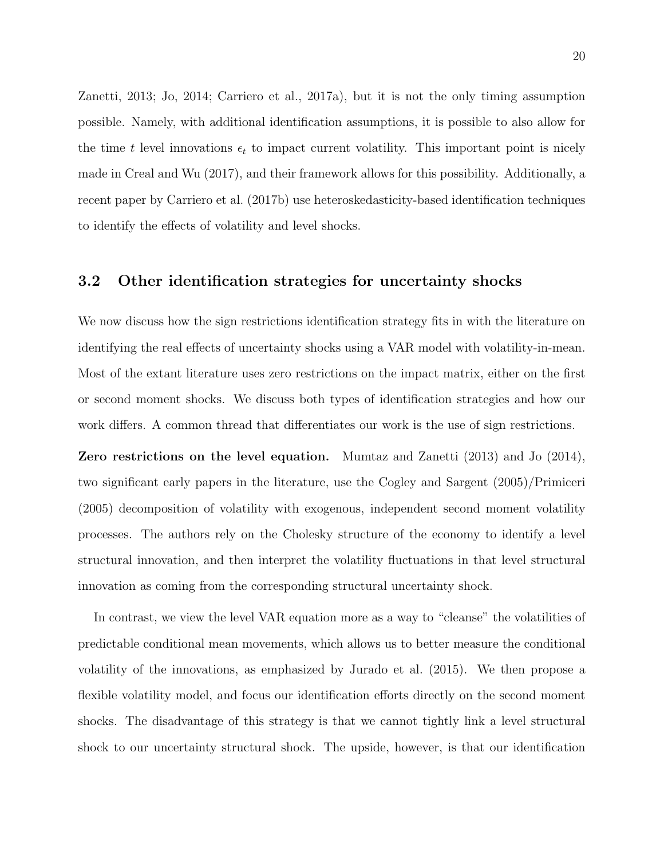[Zanetti,](#page-34-4) [2013;](#page-34-4) [Jo,](#page-33-4) [2014;](#page-33-4) [Carriero et al.,](#page-33-6) [2017a\)](#page-33-6), but it is not the only timing assumption possible. Namely, with additional identification assumptions, it is possible to also allow for the time t level innovations  $\epsilon_t$  to impact current volatility. This important point is nicely made in [Creal and Wu](#page-33-5) [\(2017\)](#page-33-5), and their framework allows for this possibility. Additionally, a recent paper by [Carriero et al.](#page-33-15) [\(2017b\)](#page-33-15) use heteroskedasticity-based identification techniques to identify the effects of volatility and level shocks.

#### 3.2 Other identification strategies for uncertainty shocks

We now discuss how the sign restrictions identification strategy fits in with the literature on identifying the real effects of uncertainty shocks using a VAR model with volatility-in-mean. Most of the extant literature uses zero restrictions on the impact matrix, either on the first or second moment shocks. We discuss both types of identification strategies and how our work differs. A common thread that differentiates our work is the use of sign restrictions.

Zero restrictions on the level equation. [Mumtaz and Zanetti](#page-34-4) [\(2013\)](#page-34-4) and [Jo](#page-33-4) [\(2014\)](#page-33-4), two significant early papers in the literature, use the [Cogley and Sargent](#page-33-10) [\(2005\)](#page-33-10)[/Primiceri](#page-34-8) [\(2005\)](#page-34-8) decomposition of volatility with exogenous, independent second moment volatility processes. The authors rely on the Cholesky structure of the economy to identify a level structural innovation, and then interpret the volatility fluctuations in that level structural innovation as coming from the corresponding structural uncertainty shock.

In contrast, we view the level VAR equation more as a way to "cleanse" the volatilities of predictable conditional mean movements, which allows us to better measure the conditional volatility of the innovations, as emphasized by [Jurado et al.](#page-33-3) [\(2015\)](#page-33-3). We then propose a flexible volatility model, and focus our identification efforts directly on the second moment shocks. The disadvantage of this strategy is that we cannot tightly link a level structural shock to our uncertainty structural shock. The upside, however, is that our identification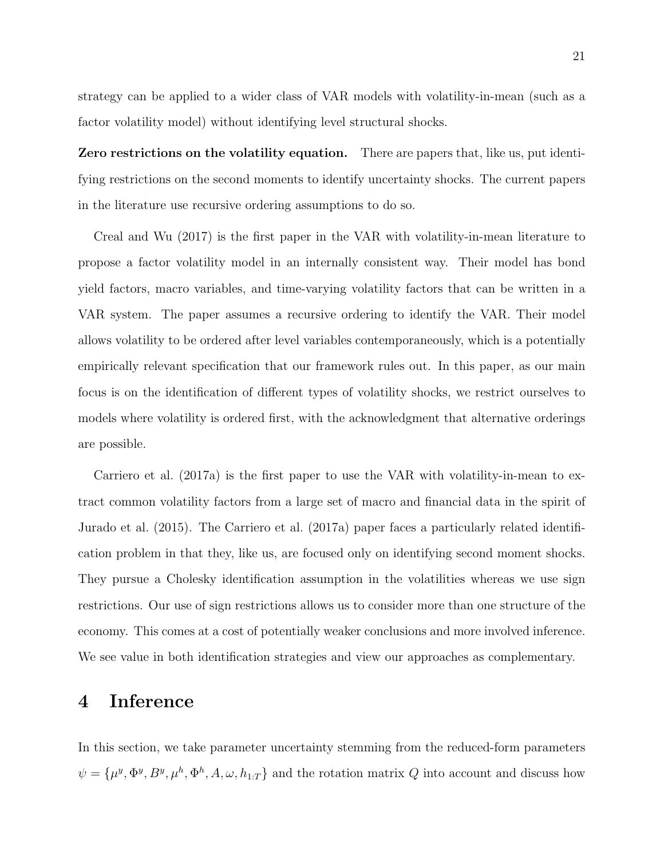strategy can be applied to a wider class of VAR models with volatility-in-mean (such as a factor volatility model) without identifying level structural shocks.

Zero restrictions on the volatility equation. There are papers that, like us, put identifying restrictions on the second moments to identify uncertainty shocks. The current papers in the literature use recursive ordering assumptions to do so.

[Creal and Wu](#page-33-5) [\(2017\)](#page-33-5) is the first paper in the VAR with volatility-in-mean literature to propose a factor volatility model in an internally consistent way. Their model has bond yield factors, macro variables, and time-varying volatility factors that can be written in a VAR system. The paper assumes a recursive ordering to identify the VAR. Their model allows volatility to be ordered after level variables contemporaneously, which is a potentially empirically relevant specification that our framework rules out. In this paper, as our main focus is on the identification of different types of volatility shocks, we restrict ourselves to models where volatility is ordered first, with the acknowledgment that alternative orderings are possible.

[Carriero et al.](#page-33-6) [\(2017a\)](#page-33-6) is the first paper to use the VAR with volatility-in-mean to extract common volatility factors from a large set of macro and financial data in the spirit of [Jurado et al.](#page-33-3) [\(2015\)](#page-33-3). The [Carriero et al.](#page-33-6) [\(2017a\)](#page-33-6) paper faces a particularly related identification problem in that they, like us, are focused only on identifying second moment shocks. They pursue a Cholesky identification assumption in the volatilities whereas we use sign restrictions. Our use of sign restrictions allows us to consider more than one structure of the economy. This comes at a cost of potentially weaker conclusions and more involved inference. We see value in both identification strategies and view our approaches as complementary.

## <span id="page-20-0"></span>4 Inference

In this section, we take parameter uncertainty stemming from the reduced-form parameters  $\psi = {\mu^y, \Phi^y, B^y, \mu^h, \Phi^h, A, \omega, h_{1:T}}$  and the rotation matrix Q into account and discuss how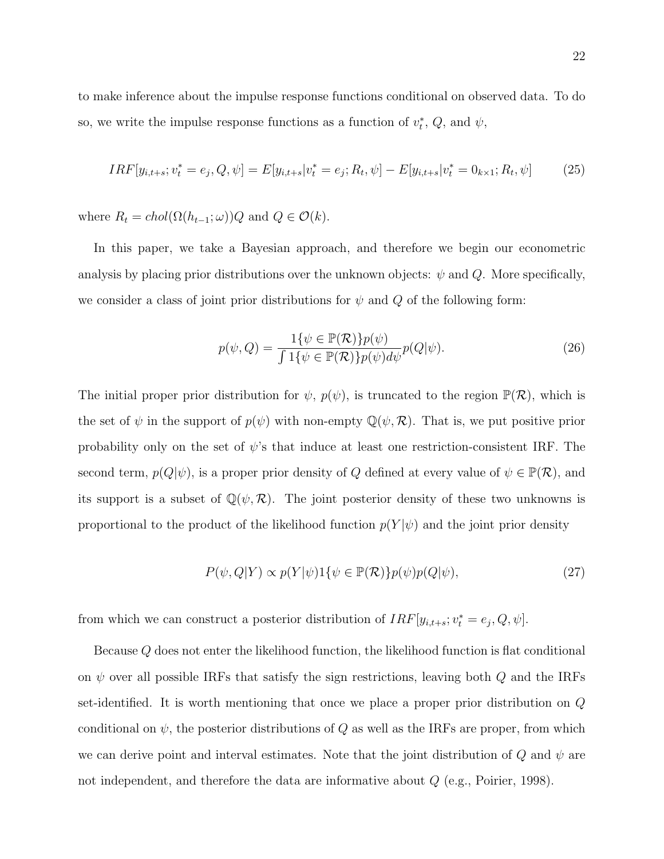to make inference about the impulse response functions conditional on observed data. To do so, we write the impulse response functions as a function of  $v_t^*$ ,  $Q$ , and  $\psi$ ,

$$
IRF[y_{i,t+s}; v_t^* = e_j, Q, \psi] = E[y_{i,t+s} | v_t^* = e_j; R_t, \psi] - E[y_{i,t+s} | v_t^* = 0_{k \times 1}; R_t, \psi]
$$
(25)

where  $R_t = chol(\Omega(h_{t-1}; \omega))Q$  and  $Q \in \mathcal{O}(k)$ .

In this paper, we take a Bayesian approach, and therefore we begin our econometric analysis by placing prior distributions over the unknown objects:  $\psi$  and  $Q$ . More specifically, we consider a class of joint prior distributions for  $\psi$  and  $Q$  of the following form:

$$
p(\psi, Q) = \frac{1\{\psi \in \mathbb{P}(\mathcal{R})\} p(\psi)}{\int 1\{\psi \in \mathbb{P}(\mathcal{R})\} p(\psi) d\psi} p(Q|\psi).
$$
\n(26)

The initial proper prior distribution for  $\psi$ ,  $p(\psi)$ , is truncated to the region  $\mathbb{P}(\mathcal{R})$ , which is the set of  $\psi$  in the support of  $p(\psi)$  with non-empty  $\mathbb{Q}(\psi,\mathcal{R})$ . That is, we put positive prior probability only on the set of  $\psi$ 's that induce at least one restriction-consistent IRF. The second term,  $p(Q|\psi)$ , is a proper prior density of Q defined at every value of  $\psi \in \mathbb{P}(\mathcal{R})$ , and its support is a subset of  $\mathbb{Q}(\psi,\mathcal{R})$ . The joint posterior density of these two unknowns is proportional to the product of the likelihood function  $p(Y|\psi)$  and the joint prior density

<span id="page-21-0"></span>
$$
P(\psi, Q|Y) \propto p(Y|\psi)1\{\psi \in \mathbb{P}(\mathcal{R})\}p(\psi)p(Q|\psi),\tag{27}
$$

from which we can construct a posterior distribution of  $IRF[y_{i,t+s}; v_t^* = e_j, Q, \psi]$ .

Because Q does not enter the likelihood function, the likelihood function is flat conditional on  $\psi$  over all possible IRFs that satisfy the sign restrictions, leaving both  $Q$  and the IRFs set-identified. It is worth mentioning that once we place a proper prior distribution on Q conditional on  $\psi$ , the posterior distributions of Q as well as the IRFs are proper, from which we can derive point and interval estimates. Note that the joint distribution of  $Q$  and  $\psi$  are not independent, and therefore the data are informative about Q (e.g., [Poirier,](#page-34-12) [1998\)](#page-34-12).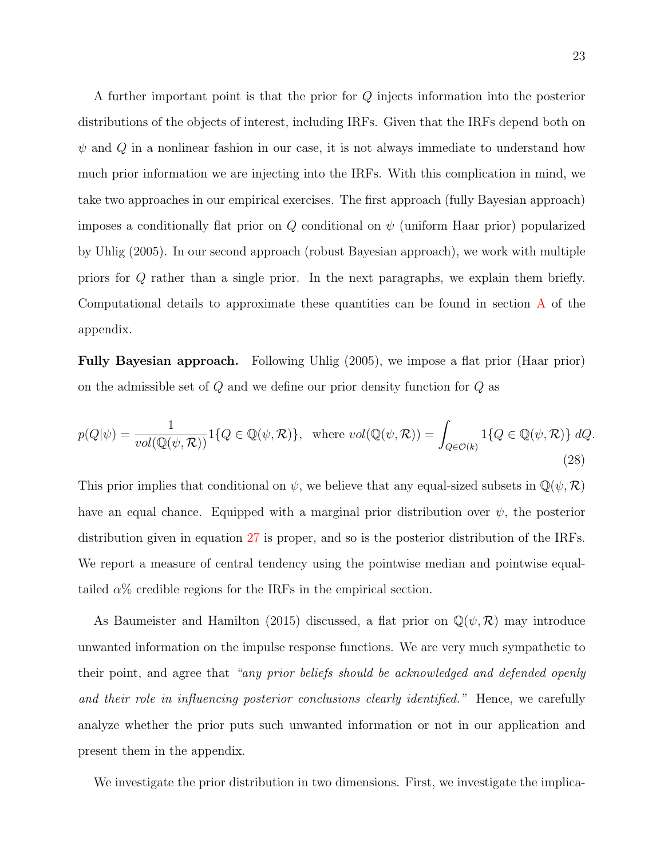A further important point is that the prior for Q injects information into the posterior distributions of the objects of interest, including IRFs. Given that the IRFs depend both on  $\psi$  and  $Q$  in a nonlinear fashion in our case, it is not always immediate to understand how much prior information we are injecting into the IRFs. With this complication in mind, we take two approaches in our empirical exercises. The first approach (fully Bayesian approach) imposes a conditionally flat prior on  $Q$  conditional on  $\psi$  (uniform Haar prior) popularized by [Uhlig](#page-34-6) [\(2005\)](#page-34-6). In our second approach (robust Bayesian approach), we work with multiple priors for Q rather than a single prior. In the next paragraphs, we explain them briefly. Computational details to approximate these quantities can be found in section [A](#page-0-0) of the appendix.

Fully Bayesian approach. Following [Uhlig](#page-34-6) [\(2005\)](#page-34-6), we impose a flat prior (Haar prior) on the admissible set of  $Q$  and we define our prior density function for  $Q$  as

$$
p(Q|\psi) = \frac{1}{vol(\mathbb{Q}(\psi,\mathcal{R}))} 1\{Q \in \mathbb{Q}(\psi,\mathcal{R})\}, \text{ where } vol(\mathbb{Q}(\psi,\mathcal{R})) = \int_{Q \in \mathcal{O}(k)} 1\{Q \in \mathbb{Q}(\psi,\mathcal{R})\} dQ.
$$
\n(28)

This prior implies that conditional on  $\psi$ , we believe that any equal-sized subsets in  $\mathbb{Q}(\psi,\mathcal{R})$ have an equal chance. Equipped with a marginal prior distribution over  $\psi$ , the posterior distribution given in equation [27](#page-21-0) is proper, and so is the posterior distribution of the IRFs. We report a measure of central tendency using the pointwise median and pointwise equaltailed  $\alpha$ % credible regions for the IRFs in the empirical section.

As [Baumeister and Hamilton](#page-32-5) [\(2015\)](#page-32-5) discussed, a flat prior on  $\mathbb{Q}(\psi,\mathcal{R})$  may introduce unwanted information on the impulse response functions. We are very much sympathetic to their point, and agree that "any prior beliefs should be acknowledged and defended openly and their role in influencing posterior conclusions clearly identified." Hence, we carefully analyze whether the prior puts such unwanted information or not in our application and present them in the appendix.

We investigate the prior distribution in two dimensions. First, we investigate the implica-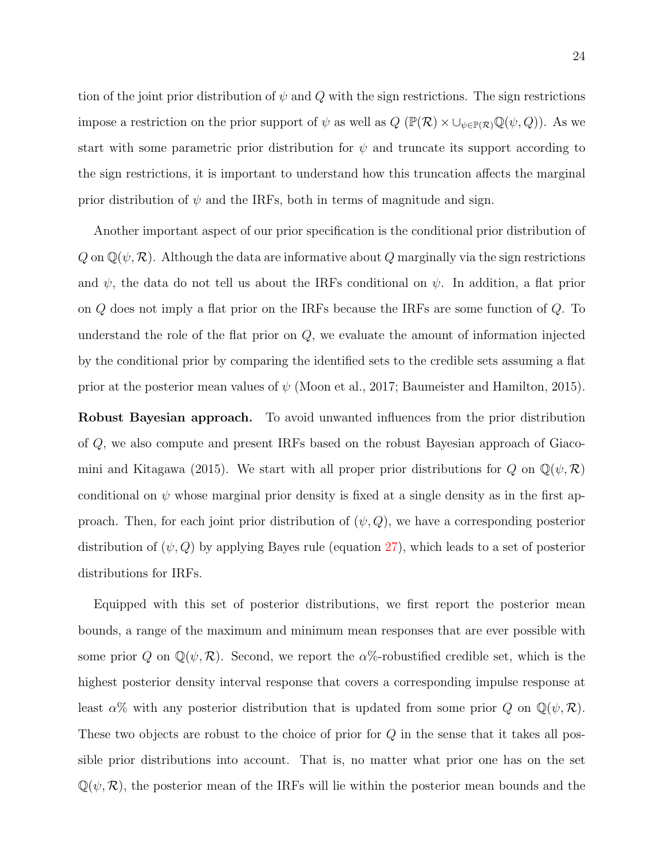tion of the joint prior distribution of  $\psi$  and  $Q$  with the sign restrictions. The sign restrictions impose a restriction on the prior support of  $\psi$  as well as  $Q \left( \mathbb{P}(\mathcal{R}) \times \cup_{\psi \in \mathbb{P}(\mathcal{R})} \mathbb{Q}(\psi, Q) \right)$ . As we start with some parametric prior distribution for  $\psi$  and truncate its support according to the sign restrictions, it is important to understand how this truncation affects the marginal prior distribution of  $\psi$  and the IRFs, both in terms of magnitude and sign.

Another important aspect of our prior specification is the conditional prior distribution of  $Q$  on  $\mathbb{Q}(\psi,\mathcal{R})$ . Although the data are informative about  $Q$  marginally via the sign restrictions and  $\psi$ , the data do not tell us about the IRFs conditional on  $\psi$ . In addition, a flat prior on Q does not imply a flat prior on the IRFs because the IRFs are some function of Q. To understand the role of the flat prior on  $Q$ , we evaluate the amount of information injected by the conditional prior by comparing the identified sets to the credible sets assuming a flat prior at the posterior mean values of  $\psi$  [\(Moon et al.,](#page-34-7) [2017;](#page-34-7) [Baumeister and Hamilton,](#page-32-5) [2015\)](#page-32-5).

Robust Bayesian approach. To avoid unwanted influences from the prior distribution of Q, we also compute and present IRFs based on the robust Bayesian approach of [Giaco](#page-33-9)[mini and Kitagawa](#page-33-9) [\(2015\)](#page-33-9). We start with all proper prior distributions for Q on  $\mathbb{Q}(\psi,\mathcal{R})$ conditional on  $\psi$  whose marginal prior density is fixed at a single density as in the first approach. Then, for each joint prior distribution of  $(\psi, Q)$ , we have a corresponding posterior distribution of  $(\psi, Q)$  by applying Bayes rule (equation [27\)](#page-21-0), which leads to a set of posterior distributions for IRFs.

Equipped with this set of posterior distributions, we first report the posterior mean bounds, a range of the maximum and minimum mean responses that are ever possible with some prior Q on  $\mathbb{Q}(\psi,\mathcal{R})$ . Second, we report the  $\alpha\%$ -robustified credible set, which is the highest posterior density interval response that covers a corresponding impulse response at least  $\alpha$ % with any posterior distribution that is updated from some prior Q on  $\mathbb{Q}(\psi,\mathcal{R})$ . These two objects are robust to the choice of prior for Q in the sense that it takes all possible prior distributions into account. That is, no matter what prior one has on the set  $\mathbb{Q}(\psi,\mathcal{R})$ , the posterior mean of the IRFs will lie within the posterior mean bounds and the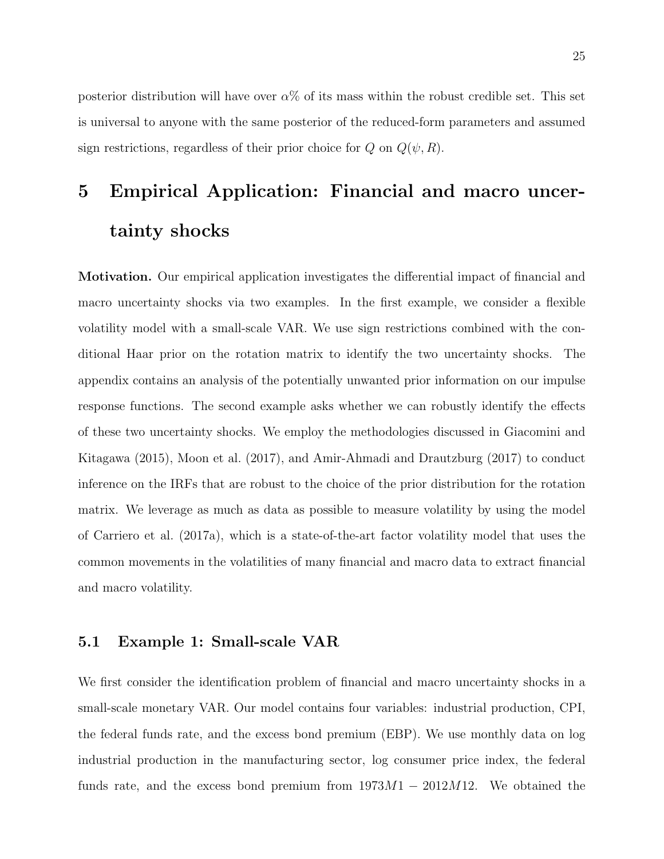posterior distribution will have over  $\alpha$ % of its mass within the robust credible set. This set is universal to anyone with the same posterior of the reduced-form parameters and assumed sign restrictions, regardless of their prior choice for  $Q$  on  $Q(\psi, R)$ .

# 5 Empirical Application: Financial and macro uncertainty shocks

Motivation. Our empirical application investigates the differential impact of financial and macro uncertainty shocks via two examples. In the first example, we consider a flexible volatility model with a small-scale VAR. We use sign restrictions combined with the conditional Haar prior on the rotation matrix to identify the two uncertainty shocks. The appendix contains an analysis of the potentially unwanted prior information on our impulse response functions. The second example asks whether we can robustly identify the effects of these two uncertainty shocks. We employ the methodologies discussed in [Giacomini and](#page-33-9) [Kitagawa](#page-33-9) [\(2015\)](#page-33-9), [Moon et al.](#page-34-7) [\(2017\)](#page-34-7), and [Amir-Ahmadi and Drautzburg](#page-32-7) [\(2017\)](#page-32-7) to conduct inference on the IRFs that are robust to the choice of the prior distribution for the rotation matrix. We leverage as much as data as possible to measure volatility by using the model of [Carriero et al.](#page-33-6) [\(2017a\)](#page-33-6), which is a state-of-the-art factor volatility model that uses the common movements in the volatilities of many financial and macro data to extract financial and macro volatility.

#### 5.1 Example 1: Small-scale VAR

We first consider the identification problem of financial and macro uncertainty shocks in a small-scale monetary VAR. Our model contains four variables: industrial production, CPI, the federal funds rate, and the excess bond premium (EBP). We use monthly data on log industrial production in the manufacturing sector, log consumer price index, the federal funds rate, and the excess bond premium from  $1973M1 - 2012M12$ . We obtained the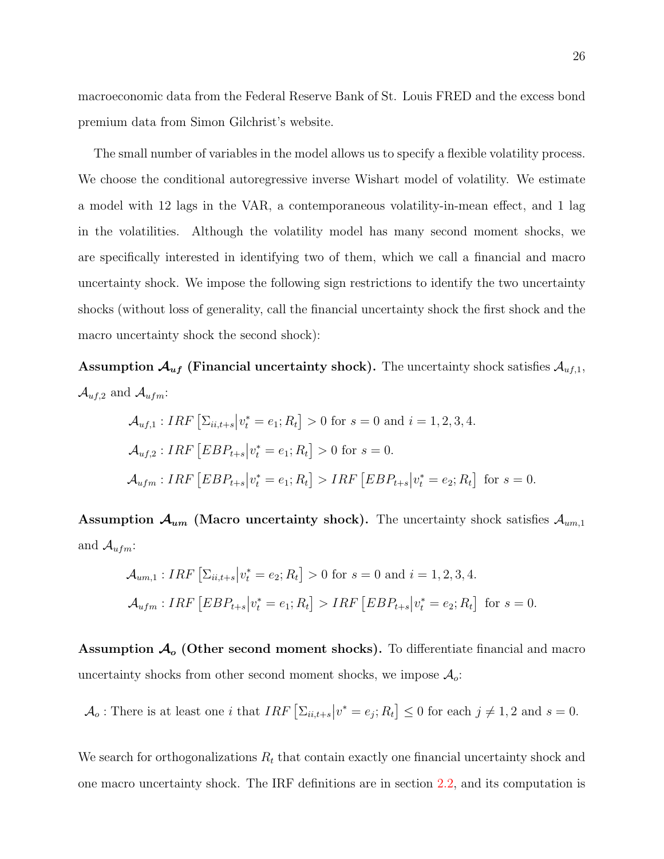macroeconomic data from the Federal Reserve Bank of St. Louis FRED and the excess bond premium data from Simon Gilchrist's website.

The small number of variables in the model allows us to specify a flexible volatility process. We choose the conditional autoregressive inverse Wishart model of volatility. We estimate a model with 12 lags in the VAR, a contemporaneous volatility-in-mean effect, and 1 lag in the volatilities. Although the volatility model has many second moment shocks, we are specifically interested in identifying two of them, which we call a financial and macro uncertainty shock. We impose the following sign restrictions to identify the two uncertainty shocks (without loss of generality, call the financial uncertainty shock the first shock and the macro uncertainty shock the second shock):

**Assumption**  $\mathcal{A}_{uf}$  **(Financial uncertainty shock).** The uncertainty shock satisfies  $\mathcal{A}_{uf,1}$ ,  $\mathcal{A}_{uf,2}$  and  $\mathcal{A}_{ufm}$ :

$$
\mathcal{A}_{uf,1}: IRF \left[ \Sigma_{ii,t+s} \middle| v_t^* = e_1; R_t \right] > 0 \text{ for } s = 0 \text{ and } i = 1, 2, 3, 4.
$$
  

$$
\mathcal{A}_{uf,2}: IRF \left[ EBP_{t+s} \middle| v_t^* = e_1; R_t \right] > 0 \text{ for } s = 0.
$$
  

$$
\mathcal{A}_{ufm}: IRF \left[ EBP_{t+s} \middle| v_t^* = e_1; R_t \right] > IRF \left[ EBP_{t+s} \middle| v_t^* = e_2; R_t \right] \text{ for } s = 0.
$$

Assumption  $\mathcal{A}_{um}$  (Macro uncertainty shock). The uncertainty shock satisfies  $\mathcal{A}_{um,1}$ and  $\mathcal{A}_{ufm}$ :

$$
\mathcal{A}_{um,1} : IRF \left[ \Sigma_{ii,t+s} \middle| v_t^* = e_2; R_t \right] > 0 \text{ for } s = 0 \text{ and } i = 1, 2, 3, 4.
$$
  

$$
\mathcal{A}_{ufm} : IRF \left[ EBP_{t+s} \middle| v_t^* = e_1; R_t \right] > IRF \left[ EBP_{t+s} \middle| v_t^* = e_2; R_t \right] \text{ for } s = 0.
$$

Assumption  $A_{o}$  (Other second moment shocks). To differentiate financial and macro uncertainty shocks from other second moment shocks, we impose  $\mathcal{A}_o$ :

 $\mathcal{A}_o$ : There is at least one *i* that  $IRF\left[\sum_{ii,t+s} | v^* = e_j; R_t\right] \leq 0$  for each  $j \neq 1, 2$  and  $s = 0$ .

We search for orthogonalizations  $R_t$  that contain exactly one financial uncertainty shock and one macro uncertainty shock. The IRF definitions are in section [2.2,](#page-7-1) and its computation is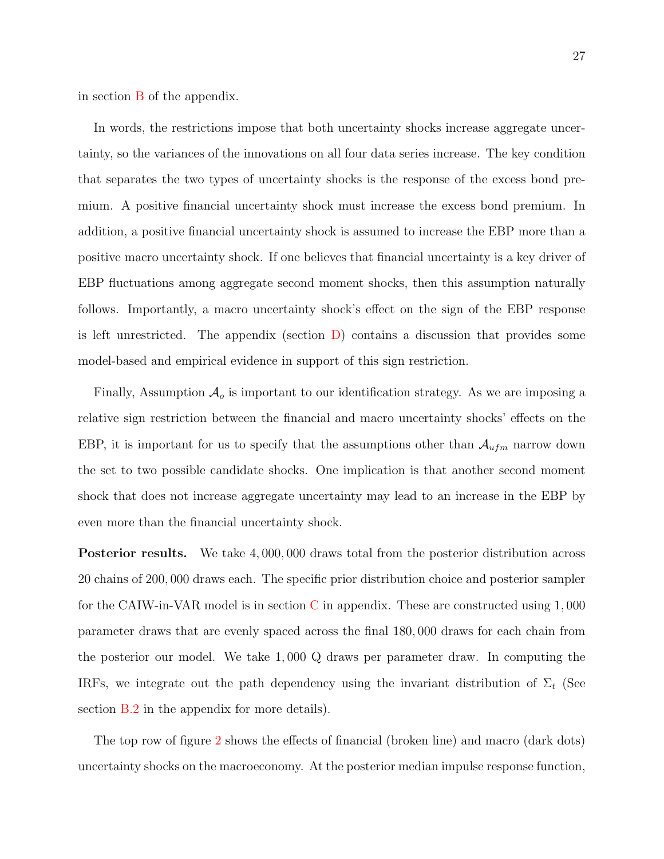in section [B](#page-0-0) of the appendix.

In words, the restrictions impose that both uncertainty shocks increase aggregate uncertainty, so the variances of the innovations on all four data series increase. The key condition that separates the two types of uncertainty shocks is the response of the excess bond premium. A positive financial uncertainty shock must increase the excess bond premium. In addition, a positive financial uncertainty shock is assumed to increase the EBP more than a positive macro uncertainty shock. If one believes that financial uncertainty is a key driver of EBP fluctuations among aggregate second moment shocks, then this assumption naturally follows. Importantly, a macro uncertainty shock's effect on the sign of the EBP response is left unrestricted. The appendix (section  $D$ ) contains a discussion that provides some model-based and empirical evidence in support of this sign restriction.

Finally, Assumption  $\mathcal{A}_{o}$  is important to our identification strategy. As we are imposing a relative sign restriction between the financial and macro uncertainty shocks' effects on the EBP, it is important for us to specify that the assumptions other than  $\mathcal{A}_{ufm}$  narrow down the set to two possible candidate shocks. One implication is that another second moment shock that does not increase aggregate uncertainty may lead to an increase in the EBP by even more than the financial uncertainty shock.

Posterior results. We take 4, 000, 000 draws total from the posterior distribution across 20 chains of 200, 000 draws each. The specific prior distribution choice and posterior sampler for the CAIW-in-VAR model is in section [C](#page-0-0) in appendix. These are constructed using 1, 000 parameter draws that are evenly spaced across the final 180, 000 draws for each chain from the posterior our model. We take 1, 000 Q draws per parameter draw. In computing the IRFs, we integrate out the path dependency using the invariant distribution of  $\Sigma_t$  (See section [B.2](#page-0-0) in the appendix for more details).

The top row of figure [2](#page-27-0) shows the effects of financial (broken line) and macro (dark dots) uncertainty shocks on the macroeconomy. At the posterior median impulse response function,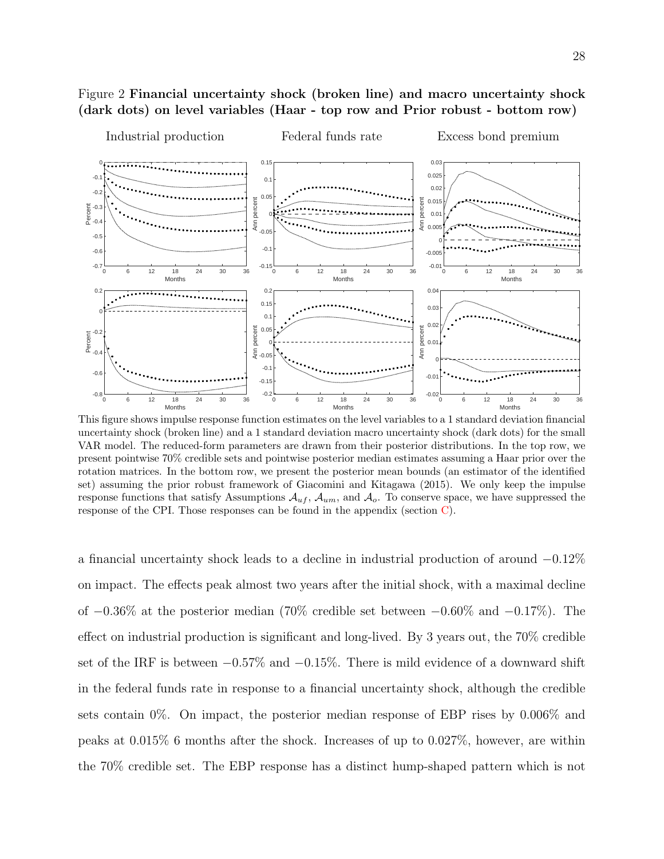## <span id="page-27-0"></span>Figure 2 Financial uncertainty shock (broken line) and macro uncertainty shock (dark dots) on level variables (Haar - top row and Prior robust - bottom row)



This figure shows impulse response function estimates on the level variables to a 1 standard deviation financial uncertainty shock (broken line) and a 1 standard deviation macro uncertainty shock (dark dots) for the small VAR model. The reduced-form parameters are drawn from their posterior distributions. In the top row, we present pointwise 70% credible sets and pointwise posterior median estimates assuming a Haar prior over the rotation matrices. In the bottom row, we present the posterior mean bounds (an estimator of the identified set) assuming the prior robust framework of [Giacomini and Kitagawa](#page-33-9) [\(2015\)](#page-33-9). We only keep the impulse response functions that satisfy Assumptions  $\mathcal{A}_{uf}$ ,  $\mathcal{A}_{um}$ , and  $\mathcal{A}_{o}$ . To conserve space, we have suppressed the response of the CPI. Those responses can be found in the appendix (section  $C$ ).

a financial uncertainty shock leads to a decline in industrial production of around −0.12% on impact. The effects peak almost two years after the initial shock, with a maximal decline of −0.36% at the posterior median (70% credible set between −0.60% and −0.17%). The effect on industrial production is significant and long-lived. By 3 years out, the 70% credible set of the IRF is between  $-0.57\%$  and  $-0.15\%$ . There is mild evidence of a downward shift in the federal funds rate in response to a financial uncertainty shock, although the credible sets contain 0%. On impact, the posterior median response of EBP rises by 0.006% and peaks at 0.015% 6 months after the shock. Increases of up to 0.027%, however, are within the 70% credible set. The EBP response has a distinct hump-shaped pattern which is not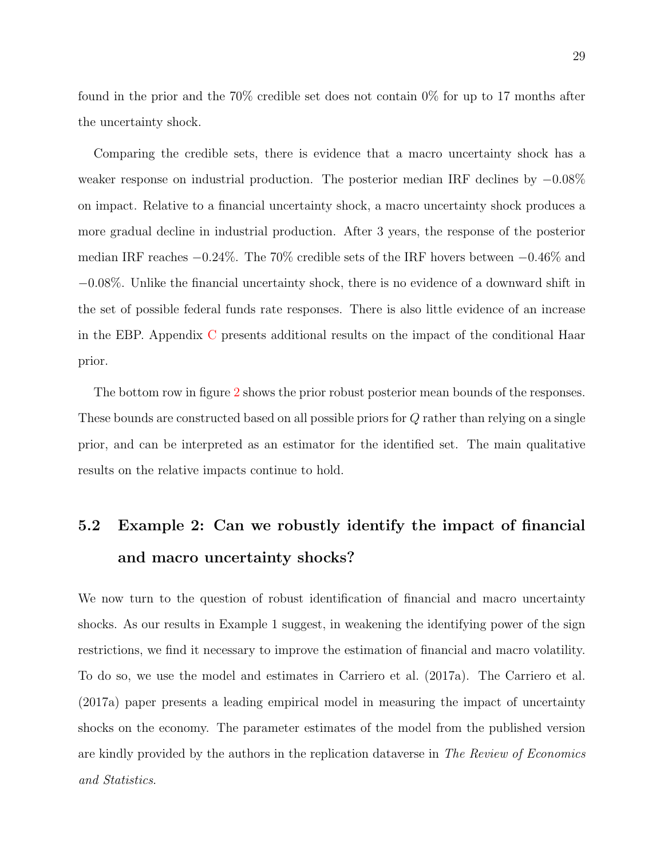found in the prior and the 70% credible set does not contain 0% for up to 17 months after the uncertainty shock.

Comparing the credible sets, there is evidence that a macro uncertainty shock has a weaker response on industrial production. The posterior median IRF declines by −0.08% on impact. Relative to a financial uncertainty shock, a macro uncertainty shock produces a more gradual decline in industrial production. After 3 years, the response of the posterior median IRF reaches −0.24%. The 70% credible sets of the IRF hovers between −0.46% and −0.08%. Unlike the financial uncertainty shock, there is no evidence of a downward shift in the set of possible federal funds rate responses. There is also little evidence of an increase in the EBP. Appendix [C](#page-0-0) presents additional results on the impact of the conditional Haar prior.

The bottom row in figure [2](#page-27-0) shows the prior robust posterior mean bounds of the responses. These bounds are constructed based on all possible priors for Q rather than relying on a single prior, and can be interpreted as an estimator for the identified set. The main qualitative results on the relative impacts continue to hold.

## 5.2 Example 2: Can we robustly identify the impact of financial and macro uncertainty shocks?

We now turn to the question of robust identification of financial and macro uncertainty shocks. As our results in Example 1 suggest, in weakening the identifying power of the sign restrictions, we find it necessary to improve the estimation of financial and macro volatility. To do so, we use the model and estimates in [Carriero et al.](#page-33-6) [\(2017a\)](#page-33-6). The [Carriero et al.](#page-33-6) [\(2017a\)](#page-33-6) paper presents a leading empirical model in measuring the impact of uncertainty shocks on the economy. The parameter estimates of the model from the published version are kindly provided by the authors in the replication dataverse in The Review of Economics and Statistics.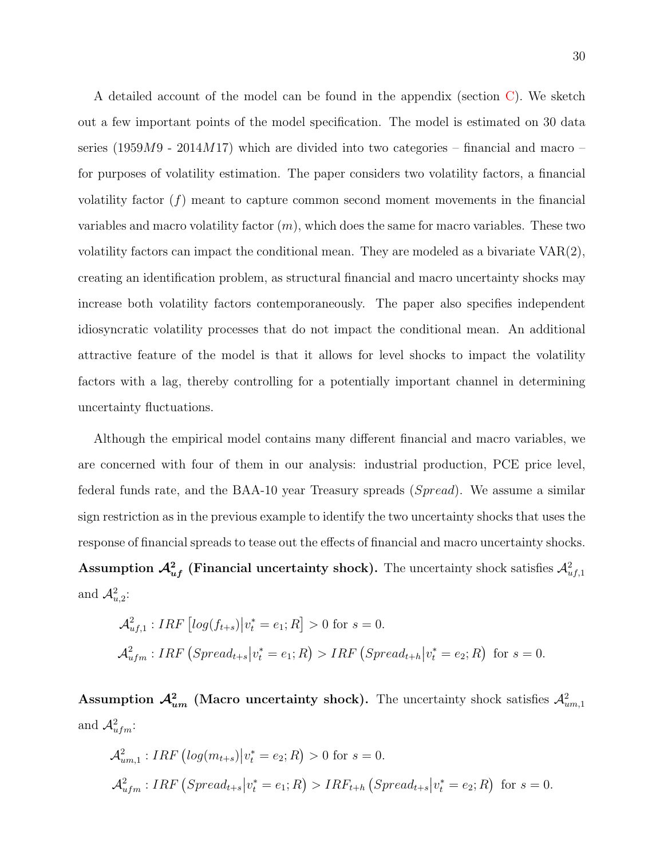A detailed account of the model can be found in the appendix (section [C\)](#page-0-0). We sketch out a few important points of the model specification. The model is estimated on 30 data series (1959 $M$ 9 - 2014 $M$ 17) which are divided into two categories – financial and macro – for purposes of volatility estimation. The paper considers two volatility factors, a financial volatility factor (f) meant to capture common second moment movements in the financial variables and macro volatility factor  $(m)$ , which does the same for macro variables. These two volatility factors can impact the conditional mean. They are modeled as a bivariate VAR(2), creating an identification problem, as structural financial and macro uncertainty shocks may increase both volatility factors contemporaneously. The paper also specifies independent idiosyncratic volatility processes that do not impact the conditional mean. An additional attractive feature of the model is that it allows for level shocks to impact the volatility factors with a lag, thereby controlling for a potentially important channel in determining uncertainty fluctuations.

Although the empirical model contains many different financial and macro variables, we are concerned with four of them in our analysis: industrial production, PCE price level, federal funds rate, and the BAA-10 year Treasury spreads (Spread). We assume a similar sign restriction as in the previous example to identify the two uncertainty shocks that uses the response of financial spreads to tease out the effects of financial and macro uncertainty shocks. Assumption  $\mathcal{A}^2_{uf}$  (Financial uncertainty shock). The uncertainty shock satisfies  $\mathcal{A}^2_{uf,1}$ and  $\mathcal{A}_{u,2}^2$ :

$$
\mathcal{A}_{uf,1}^2: IRF\left[\log(f_{t+s})\middle|v_t^* = e_1; R\right] > 0 \text{ for } s = 0.
$$
  

$$
\mathcal{A}_{ufm}^2: IRF\left(Spread_{t+s} | v_t^* = e_1; R\right) > IRF\left(Spread_{t+h} | v_t^* = e_2; R\right) \text{ for } s = 0.
$$

Assumption  $\mathcal{A}^2_{um}$  (Macro uncertainty shock). The uncertainty shock satisfies  $\mathcal{A}^2_{um,1}$ and  $\mathcal{A}^2_{ufm}$ :

$$
\mathcal{A}_{um,1}^2: IRF\left(log(m_{t+s})\middle|v_t^* = e_2; R\right) > 0 \text{ for } s = 0.
$$
  

$$
\mathcal{A}_{ufm}^2: IRF\left(Spread_{t+s}\middle|v_t^* = e_1; R\right) > IRF_{t+h}\left(Spread_{t+s}\middle|v_t^* = e_2; R\right) \text{ for } s = 0.
$$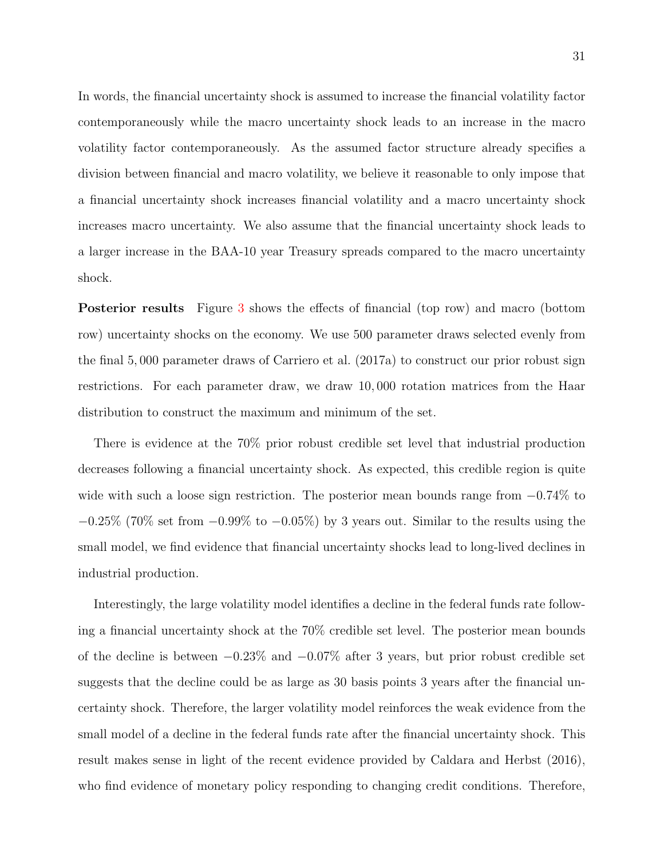In words, the financial uncertainty shock is assumed to increase the financial volatility factor contemporaneously while the macro uncertainty shock leads to an increase in the macro volatility factor contemporaneously. As the assumed factor structure already specifies a division between financial and macro volatility, we believe it reasonable to only impose that a financial uncertainty shock increases financial volatility and a macro uncertainty shock increases macro uncertainty. We also assume that the financial uncertainty shock leads to a larger increase in the BAA-10 year Treasury spreads compared to the macro uncertainty shock.

Posterior results Figure [3](#page-31-0) shows the effects of financial (top row) and macro (bottom row) uncertainty shocks on the economy. We use 500 parameter draws selected evenly from the final 5, 000 parameter draws of [Carriero et al.](#page-33-6) [\(2017a\)](#page-33-6) to construct our prior robust sign restrictions. For each parameter draw, we draw 10, 000 rotation matrices from the Haar distribution to construct the maximum and minimum of the set.

There is evidence at the 70% prior robust credible set level that industrial production decreases following a financial uncertainty shock. As expected, this credible region is quite wide with such a loose sign restriction. The posterior mean bounds range from  $-0.74\%$  to  $-0.25\%$  (70% set from  $-0.99\%$  to  $-0.05\%$ ) by 3 years out. Similar to the results using the small model, we find evidence that financial uncertainty shocks lead to long-lived declines in industrial production.

Interestingly, the large volatility model identifies a decline in the federal funds rate following a financial uncertainty shock at the 70% credible set level. The posterior mean bounds of the decline is between −0.23% and −0.07% after 3 years, but prior robust credible set suggests that the decline could be as large as 30 basis points 3 years after the financial uncertainty shock. Therefore, the larger volatility model reinforces the weak evidence from the small model of a decline in the federal funds rate after the financial uncertainty shock. This result makes sense in light of the recent evidence provided by [Caldara and Herbst](#page-32-9) [\(2016\)](#page-32-9), who find evidence of monetary policy responding to changing credit conditions. Therefore,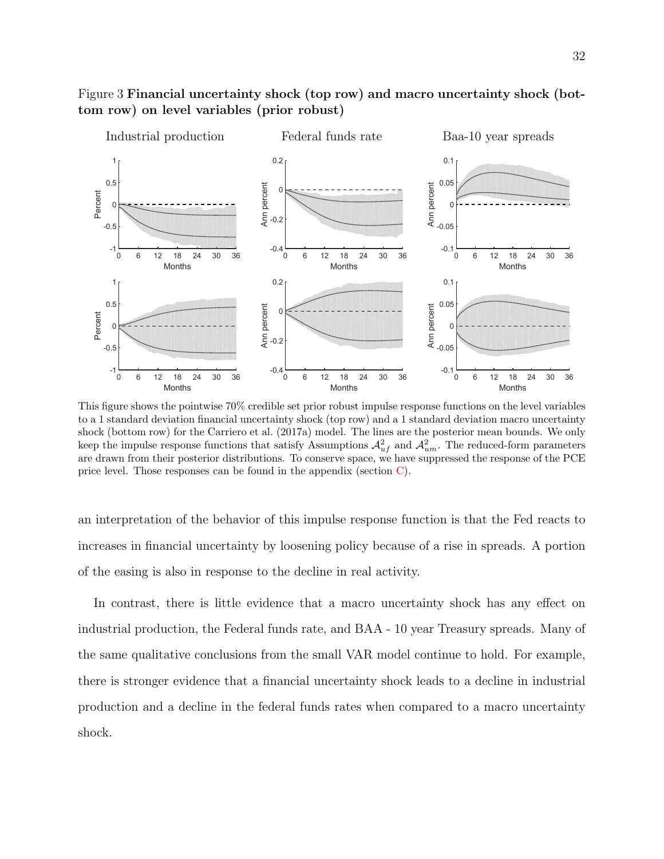

#### <span id="page-31-0"></span>Figure 3 Financial uncertainty shock (top row) and macro uncertainty shock (bottom row) on level variables (prior robust)

This figure shows the pointwise 70% credible set prior robust impulse response functions on the level variables to a 1 standard deviation financial uncertainty shock (top row) and a 1 standard deviation macro uncertainty shock (bottom row) for the [Carriero et al.](#page-33-6) [\(2017a\)](#page-33-6) model. The lines are the posterior mean bounds. We only keep the impulse response functions that satisfy Assumptions  $\mathcal{A}^2_{uf}$  and  $\mathcal{A}^2_{um}$ . The reduced-form parameters are drawn from their posterior distributions. To conserve space, we have suppressed the response of the PCE price level. Those responses can be found in the appendix (section [C\)](#page-0-0).

an interpretation of the behavior of this impulse response function is that the Fed reacts to increases in financial uncertainty by loosening policy because of a rise in spreads. A portion of the easing is also in response to the decline in real activity.

In contrast, there is little evidence that a macro uncertainty shock has any effect on industrial production, the Federal funds rate, and BAA - 10 year Treasury spreads. Many of the same qualitative conclusions from the small VAR model continue to hold. For example, there is stronger evidence that a financial uncertainty shock leads to a decline in industrial production and a decline in the federal funds rates when compared to a macro uncertainty shock.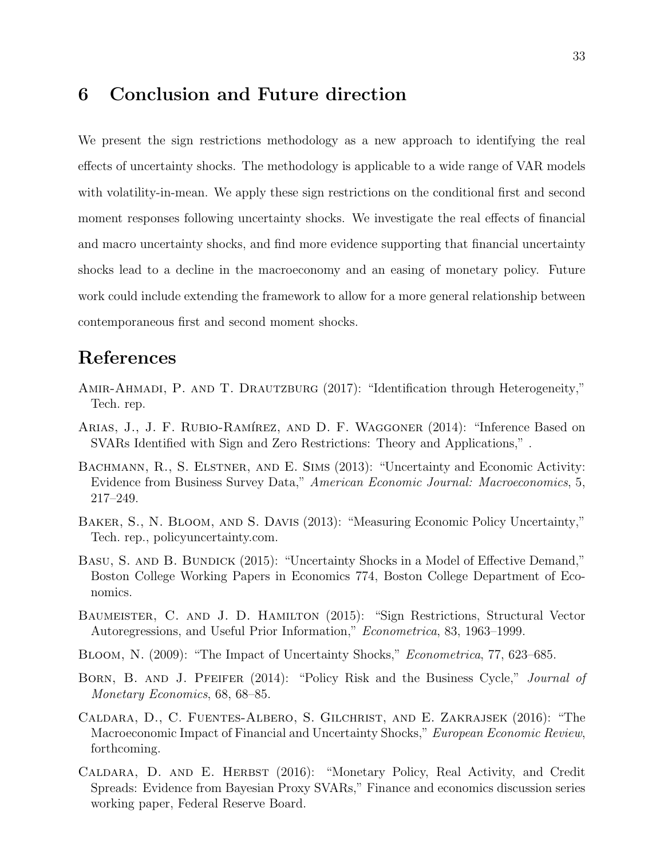### 6 Conclusion and Future direction

We present the sign restrictions methodology as a new approach to identifying the real effects of uncertainty shocks. The methodology is applicable to a wide range of VAR models with volatility-in-mean. We apply these sign restrictions on the conditional first and second moment responses following uncertainty shocks. We investigate the real effects of financial and macro uncertainty shocks, and find more evidence supporting that financial uncertainty shocks lead to a decline in the macroeconomy and an easing of monetary policy. Future work could include extending the framework to allow for a more general relationship between contemporaneous first and second moment shocks.

## References

- <span id="page-32-7"></span>AMIR-AHMADI, P. AND T. DRAUTZBURG (2017): "Identification through Heterogeneity," Tech. rep.
- <span id="page-32-6"></span>ARIAS, J., J. F. RUBIO-RAMÍREZ, AND D. F. WAGGONER (2014): "Inference Based on SVARs Identified with Sign and Zero Restrictions: Theory and Applications," .
- <span id="page-32-2"></span>BACHMANN, R., S. ELSTNER, AND E. SIMS (2013): "Uncertainty and Economic Activity: Evidence from Business Survey Data," American Economic Journal: Macroeconomics, 5, 217–249.
- <span id="page-32-1"></span>Baker, S., N. Bloom, and S. Davis (2013): "Measuring Economic Policy Uncertainty," Tech. rep., policyuncertainty.com.
- <span id="page-32-4"></span>BASU, S. AND B. BUNDICK (2015): "Uncertainty Shocks in a Model of Effective Demand," Boston College Working Papers in Economics 774, Boston College Department of Economics.
- <span id="page-32-5"></span>BAUMEISTER, C. AND J. D. HAMILTON (2015): "Sign Restrictions, Structural Vector Autoregressions, and Useful Prior Information," Econometrica, 83, 1963–1999.
- <span id="page-32-0"></span>Bloom, N. (2009): "The Impact of Uncertainty Shocks," Econometrica, 77, 623–685.
- <span id="page-32-3"></span>BORN, B. AND J. PFEIFER (2014): "Policy Risk and the Business Cycle," Journal of Monetary Economics, 68, 68–85.
- <span id="page-32-8"></span>Caldara, D., C. Fuentes-Albero, S. Gilchrist, and E. Zakrajsek (2016): "The Macroeconomic Impact of Financial and Uncertainty Shocks," European Economic Review, forthcoming.
- <span id="page-32-9"></span>CALDARA, D. AND E. HERBST (2016): "Monetary Policy, Real Activity, and Credit Spreads: Evidence from Bayesian Proxy SVARs," Finance and economics discussion series working paper, Federal Reserve Board.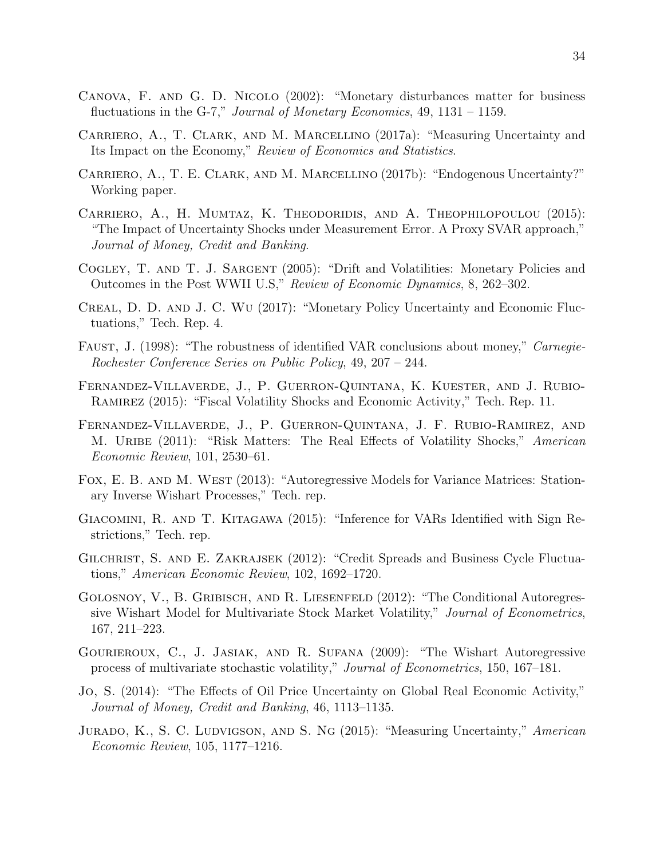- <span id="page-33-8"></span>Canova, F. and G. D. Nicolo (2002): "Monetary disturbances matter for business fluctuations in the G-7," Journal of Monetary Economics, 49, 1131 – 1159.
- <span id="page-33-6"></span>Carriero, A., T. Clark, and M. Marcellino (2017a): "Measuring Uncertainty and Its Impact on the Economy," Review of Economics and Statistics.
- <span id="page-33-15"></span>Carriero, A., T. E. Clark, and M. Marcellino (2017b): "Endogenous Uncertainty?" Working paper.
- <span id="page-33-0"></span>Carriero, A., H. Mumtaz, K. Theodoridis, and A. Theophilopoulou (2015): "The Impact of Uncertainty Shocks under Measurement Error. A Proxy SVAR approach," Journal of Money, Credit and Banking.
- <span id="page-33-10"></span>Cogley, T. and T. J. Sargent (2005): "Drift and Volatilities: Monetary Policies and Outcomes in the Post WWII U.S," Review of Economic Dynamics, 8, 262–302.
- <span id="page-33-5"></span>Creal, D. D. and J. C. Wu (2017): "Monetary Policy Uncertainty and Economic Fluctuations," Tech. Rep. 4.
- <span id="page-33-7"></span>FAUST, J. (1998): "The robustness of identified VAR conclusions about money," Carnegie-Rochester Conference Series on Public Policy, 49, 207 – 244.
- <span id="page-33-2"></span>Fernandez-Villaverde, J., P. Guerron-Quintana, K. Kuester, and J. Rubio-Ramirez (2015): "Fiscal Volatility Shocks and Economic Activity," Tech. Rep. 11.
- <span id="page-33-1"></span>Fernandez-Villaverde, J., P. Guerron-Quintana, J. F. Rubio-Ramirez, and M. URIBE (2011): "Risk Matters: The Real Effects of Volatility Shocks," American Economic Review, 101, 2530–61.
- <span id="page-33-13"></span>Fox, E. B. and M. West (2013): "Autoregressive Models for Variance Matrices: Stationary Inverse Wishart Processes," Tech. rep.
- <span id="page-33-9"></span>Giacomini, R. and T. Kitagawa (2015): "Inference for VARs Identified with Sign Restrictions," Tech. rep.
- <span id="page-33-14"></span>Gilchrist, S. and E. Zakrajsek (2012): "Credit Spreads and Business Cycle Fluctuations," American Economic Review, 102, 1692–1720.
- <span id="page-33-11"></span>Golosnoy, V., B. Gribisch, and R. Liesenfeld (2012): "The Conditional Autoregressive Wishart Model for Multivariate Stock Market Volatility," Journal of Econometrics, 167, 211–223.
- <span id="page-33-12"></span>Gourieroux, C., J. Jasiak, and R. Sufana (2009): "The Wishart Autoregressive process of multivariate stochastic volatility," Journal of Econometrics, 150, 167–181.
- <span id="page-33-4"></span>Jo, S. (2014): "The Effects of Oil Price Uncertainty on Global Real Economic Activity," Journal of Money, Credit and Banking, 46, 1113–1135.
- <span id="page-33-3"></span>JURADO, K., S. C. LUDVIGSON, AND S. NG (2015): "Measuring Uncertainty," American Economic Review, 105, 1177–1216.